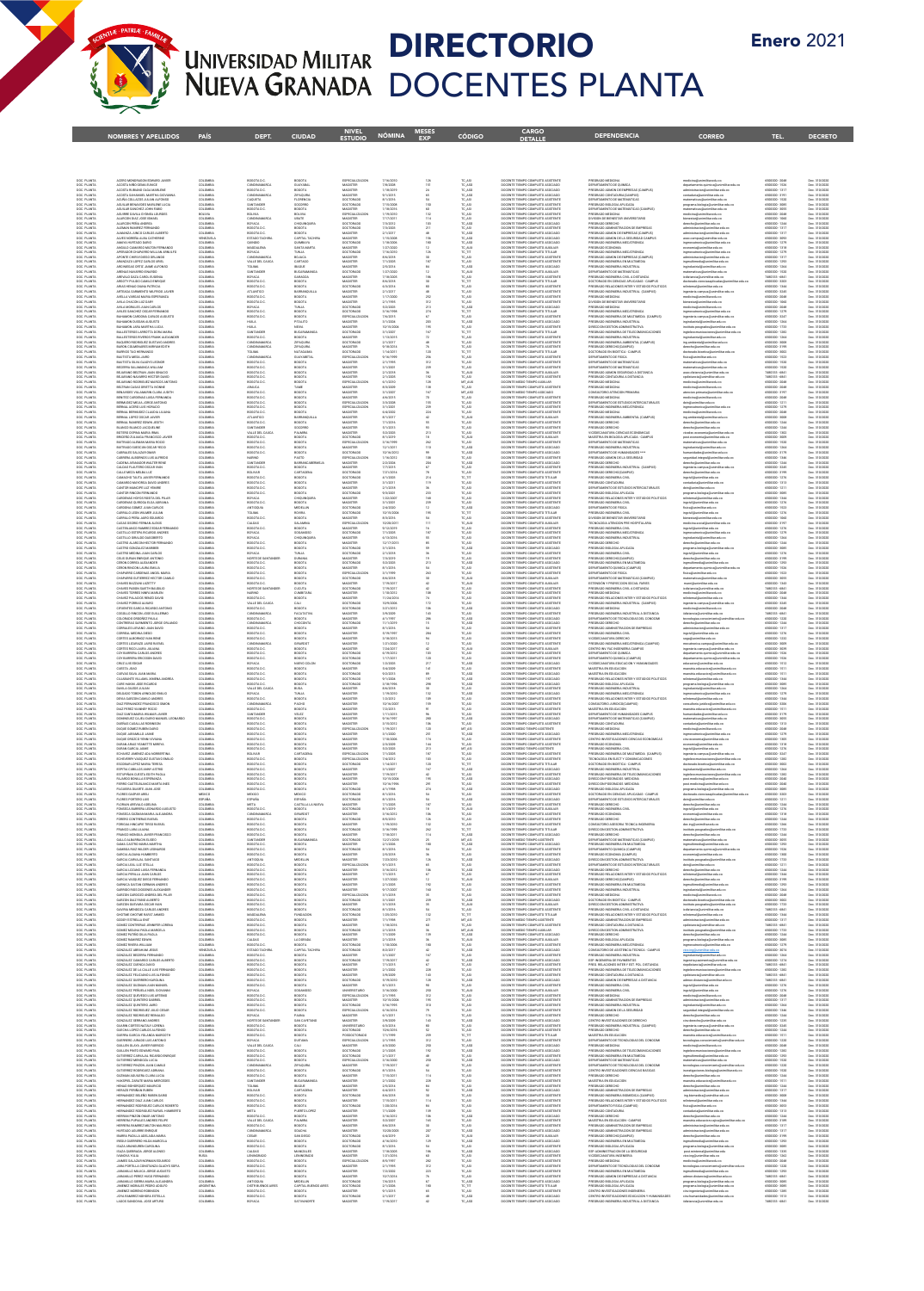

## DIRECTORIO DOCENTES PLANTA

|                                                                                                              | <b>NOMBRES Y APELLIDOS</b>                                                                                                                            | <b>PAÍS</b>                               | <b>DEPT</b>                                                        | <b>CIUDAD</b>                                    | <b>ESTUDIO</b>                                             | <b>NÓMINA</b>                                  | 시파나카<br><b>EXP</b>            | <b>CÓDIGO</b>                                              | <b>DETALLE</b>                                                                                                                               | <b>DEPENDENCIA</b>                                                                                                                                                                                              | <b>CORREO</b>                                                                                                                                                                                               | <b>TEL</b>                                                           | <b>DECRETO</b>                                                   |
|--------------------------------------------------------------------------------------------------------------|-------------------------------------------------------------------------------------------------------------------------------------------------------|-------------------------------------------|--------------------------------------------------------------------|--------------------------------------------------|------------------------------------------------------------|------------------------------------------------|-------------------------------|------------------------------------------------------------|----------------------------------------------------------------------------------------------------------------------------------------------|-----------------------------------------------------------------------------------------------------------------------------------------------------------------------------------------------------------------|-------------------------------------------------------------------------------------------------------------------------------------------------------------------------------------------------------------|----------------------------------------------------------------------|------------------------------------------------------------------|
|                                                                                                              |                                                                                                                                                       |                                           |                                                                    |                                                  |                                                            |                                                |                               |                                                            |                                                                                                                                              |                                                                                                                                                                                                                 |                                                                                                                                                                                                             |                                                                      |                                                                  |
|                                                                                                              | ACERO MONDRAGON EDWARD JAVIER<br>ACOSTA MÉDICINA FINANT                                                                                               | COLOMBIA<br>COLOMBIA                      | BOGOTA D.C.<br>CUNDINAMARC                                         | BOGOTA                                           | ESPECIALIZACIÓN<br>MAGSTER                                 | 7/16/2010<br>7/8/2008                          | 126<br>151                    | TC_ASI                                                     | DOCENTE TIEMPO COMPLETO ASISTENTE<br>DOCENTE TIEMPO COMPLETO ASOCIADO                                                                        | PREGRADO MEDICINA<br>DEPARTAMENTO DE OUMICA                                                                                                                                                                     | medicina@unimilitar.edu.co                                                                                                                                                                                  | 6500000 - 2040                                                       | Dec. 310/2021                                                    |
| DOC PLANTA<br>DOC PLANTA<br>DOC PLANTA<br>DOC PLANTA<br>DOC PLANTA<br>DOC PLANTA<br>DOC PLANTA               | ACCISTA RUBANO OLGA MARLENE<br>ACOSTA SAHAMUEL MARTHA GIOVAI<br>ACUÑA COLLAZOS JULIAN ALFONSO                                                         | COLOMBIA<br>COLOMBY<br>COLOMBY            | BOGOTA D.C.                                                        | GUAYABAL<br>BOGOTA<br>ZPAQURA<br>Florencia       | <b>MAGSTER</b><br>MAGISTER<br>DOCTORAD                     | 1/18/2019                                      |                               | TC_ASO<br>TC_ASO<br>10,450<br>10,451                       | DOCENTE TIEMPO COMPLETO ASOCIADO<br>DOCENTE TIEMPO COMPLETO ASOCIADO<br>DOCENTE TIEMPO COMPLETO ASISTENT                                     | PREGRADO ADMON DE EMPRESAS (CAMPUS)<br>PRIGRADO CONTADURIA(CAMPUS)<br>DEPARTAMENTO DE MATEMATICAS                                                                                                               | departamento quimica@unimilitar.edu.co<br>administracion@unimilitar.edu.co<br>contaduria@unimilitar.edu.co<br>matematicas@unimilitar.edu.co<br>matematicas@unimilitar.edu.co                                | 6500000 - 1526<br>6500000 - 1317<br>1500000 - 3191<br>1500000 - 1520 | Dec. 310/2020<br>Dec. 310/2020<br>Dec. 310/2021<br>Dec. 310/2021 |
|                                                                                                              | AGULAR BENAVIDES MARLENE LUCIA<br>AGULAR SANCHEZ JOHN FABIO                                                                                           | COLOMBA<br>COLOMBA                        | <b>AQUETA</b><br>SANTANDER<br>BOGOTA D.C.                          | SOCORRO<br>BOGOTA                                | DOCTORADO<br>MAGISTER                                      | 7/15/2008<br>1/18/2016                         |                               | TC ASI<br>TC ASI                                           | DOCENTE TIEMPO COMPLETO ASISTENTE<br>DOCENTE TIEMPO COMPLETO ASISTENTE                                                                       | PREGRADO BIOLOGIA APLICADA<br>DEPARTAMENTO DE MATEMATICAS (CAMPUS)                                                                                                                                              | programa biologia@unimilitar.edu.cr<br>matematicas@unimilitar.edu.co                                                                                                                                        | 6500000 - 3085<br>6500000 - 3055                                     | Dec. 310/2020<br>Dec. 310/2020                                   |
|                                                                                                              | AGUIRRE DAVILA GYENEA LOURDES<br>ALARCON DIAZ JOSE ISMAEL<br>ALARCON PEÑA ANDREA                                                                      | BOLIVIA<br>COLOMBIA<br>COLOMBIA           | <b>BOLIVIA</b><br>CUNDINAMARCA<br><b>BOYACA</b>                    | BOLIVIA<br>UBATE<br>CHIQUINQUIRA                 | ESPECIALIZACIO<br>MAGISTER<br>DOCTORADO                    | 1/19/2010<br>7/17/2011<br>7/3/2012             | 122<br>114<br>103             | TC_ASI<br>TC_ASI<br>TC_ASO                                 | DOCENTE TIEMPO COMPLETO ASISTENTE<br>DOCENTE TIEMPO COMPLETO ASISTENTE<br>DOCENTE TIEMPO COMPLETO ASOCIADO                                   | PREGRADO MEDICINA<br>DIVISION DE BIENESTAR UNIVERSITARIO<br>OHOZRADO DERECHO                                                                                                                                    | medicina@unimilitar.edu.co<br>sienestar@unimilitar.edu.co<br>derecho@unimilitar.edu.co                                                                                                                      | 6500000 - 2040<br>6500000 - 1060<br>6500000 - 1244                   | Dec. 310/2020<br>Dec. 310/2020<br>Dec. 310/2020                  |
| DOC PLANTA<br>DOC PLANTA<br>DOC PLANTA<br>DOC PLANTA<br>DOC PLANTA<br>DOC PLANTA<br>DOC PLANTA<br>POC PLANTA | ALEMAN RAMPEZ FERNANDO<br>ALMANZA JUNCO CARLOS ALBERTO                                                                                                | COLOMBIA<br>COLOMBIA                      | BOGOTA D.C.<br>BOGOTA D.C.                                         | BOGOTA<br>BOGOTA                                 | DOCTORADO<br>MAGISTER                                      | 7/3/2000<br>2/1/2017                           |                               | TC ASD<br>TC ASD<br>TC ASD<br>TC ASD<br>TC AUX<br>TC TC TT | DOCENTE TIEMPO COMPLETO ASISTENTI<br>DOCENTE TIEMPO COMPLETO ASOCIADO                                                                        | CONCRATIO ADMINISTRACION DE EMODERAS<br>PRICEADO ADMON DE EMPRESAS (CAMPUS)                                                                                                                                     | administracion@unimilita: edu.co<br>administracion@unimilita: edu.co<br>asso.campus@unimilita: edu.co<br>ingmecatronica@unimilita: edu.co                                                                   | 6500000 - 1313<br>6500000-1313                                       | Dec. 310/2020<br>Dec. 310/2020                                   |
|                                                                                                              | PARINHAM AND A CATHERINE<br>ALVES NOREÑA ALBA CATHERINE<br>AMAYA HURTADO DARIO<br>ANGULO CAMARGO MILTON FERNANDO<br>APERADOR CHAPARRO WILLIAN ARNULFO | UNIZUELA<br>COLOMBA<br>COLOMBA<br>COLOMBA | ESTADO TACHIRA<br>ESTADO TACHIRA<br>QUINDIO<br>MAGDALENA<br>BOYACA | GOGOTA<br>QUIMBAYA<br>SANTA MARTA<br>SANTA MARTA | MAGISTER<br>DOCTORADO<br>MAGISTER<br>DOCTORADO             | 1/15/2008<br>1/18/2006                         |                               |                                                            | DOCENTE TEMPO COMPLETO ASOCIADO<br>DOCENTE TEMPO COMPLETO ASOCIADO<br>DOCENTE TEMPO COMPLETO AUXILIAR<br>DOCENTE TEMPO COMPLETO TITULAR      | $\begin{tabular}{l c c c c} \hline \texttt{PREGRADO ADIMON DE LA STGUBEDAO CAMPUS} \\ \hline \texttt{PREGRADO INGENERBA MECATRONICA} \\ \hline \texttt{PREGRADO INGENERBA MECATRONICA} \\ \hline \end{tabular}$ |                                                                                                                                                                                                             |                                                                      | Dec. 310/2020<br>Dec. 310/2020<br>Dec. 310/2020<br>Dec. 310/2020 |
| DOC: PLANTA<br>DOC: PLANTA                                                                                   | APONTE CHRIVI DIEGO ORLANDO<br>ARANZAZU LOPEZ CARLOS URIEL                                                                                            | COLOMBIA<br>COLOMBIA                      | CUNDINAMARCA<br>VALLE DEL CAUCA                                    | TUNLIA<br>BOJACA<br>CARTAGO                      | MAGISTER<br>MAGISTER                                       | 1/27/2020<br>7/16/2010<br>8/6/2018<br>7/1/2005 | $\frac{12}{126}$<br>30<br>187 | TC ASI<br>TC ASI                                           | DOCENTE TIEMPO COMPLETO ASISTENTE<br>DOCENTE TIEMPO COMPLETO ASISTENTE                                                                       | PREGRADO ADMON DE EMPRESAS (CAMPUS)<br>PREGRADO INGENIERIA EN MULTIMEDIA                                                                                                                                        | economia@unimilitar.edu.co<br>ingmecatronica@unimilitar.edu.co<br>administracion@unimilitar.edu.co<br>Ingmultimedia@unimilitar.edu.co                                                                       | 6500000 - 1318<br>6500000 - 1279<br>6500000 - 1317<br>6500000 - 1293 | Dec. 310/2020<br>Dec. 310/2020                                   |
| DOC PLANTA<br>DOC PLANTA<br>DOC PLANTA<br>DOC PLANTA                                                         | ARCINIDAS ORTIZ JAME ALFONSO<br>ARENAS NAVARRO ISRARDO                                                                                                | COLOMBIA<br>COLOMBIA                      | <b>AMJOT</b><br>SANTANDER                                          | <b>BAGUE</b><br><b>BUCARAMANGA</b>               | MAGISTER<br>DOCTORADO                                      | 2/5/2014<br>1/27/2020                          |                               | TC_ASO<br>TC_AUX<br>TC_ASI<br>TC_TIT                       | DOCENTE TIEMPO COMPLETO ASOCIADO<br>DOCENTE TIEMPO COMPLETO AUXILIAR                                                                         | PREGRADO INGENIERIA INDUSTRIAL<br>DEPARTAMENTO DE MATEMATICAS                                                                                                                                                   | .<br>ngindustrial@unimilitar.edu.co<br>natematicas@unimilitar.edu.co                                                                                                                                        | 6500000 - 1264<br>6500000 - 1520                                     | Dec. 310/2020<br>Dec. 310/2020                                   |
|                                                                                                              | AREVALO DAZA CAROL EUGENIA<br>ARGOTY PULIDO CAMILO ENRIQUE<br>ARIAS HENAO DIANA PATRICIA                                                              | COLONINA<br>COLONINA<br>COLOMBIA          | BOYACA<br>BOGOTA D.C<br>BOGOTA D.C.                                | GARAGOA<br>BOGOTA<br>BOGOTA                      | MAGISTER<br>MAGISTER<br>DOCTORADO                          | 718/2005<br>8/6/2018<br>6/3/2014               |                               | TC_ASI                                                     | DOCENTE TIEMPO COMPLETO ASISTENTI<br>DOCENTE TIEMPO COMPLETO TITULAR<br>DOCENTE TIEMPO COMPLETO ASISTENTE                                    | DEFINITION INTERFERING<br>DOCTORADO IN CIENCIAS APLICADAS - CAMPUS<br>DOCTORADO EN CIENCIAS APLICADAS - CAMPUS<br>PREGRADO RELACIONES INTER Y ESTUDIOS POLITICOS                                                | icdistancia@unimilitar.edu.co<br>doctorado.ciencias aplicadas@u<br>reintemal@unimiltar.edu.co                                                                                                               | 400333-004<br>6500000 - 3203<br>6500000 - 1344                       | Dec. 310/2020<br>Dec. 310/2020<br>Dec. 310/2020                  |
| DOC PLANTA<br>DOC PLANTA<br>DOC PLANTA<br>DOC PLANTA                                                         | ARTEAGA SARMENTO WE ERRO HAVES<br>AVELLA VARGAS MARIA ESPERANZA<br>AVEA CHACON LUZ DARY                                                               | COLOMBIA<br>COLOMBA<br>COLOMBA            | ATLANTICO<br>BOGOTA D.C.<br>BOGOTA D.C.                            | BARRANDULLA<br>8050TA<br>8050TA                  | MAGISTER<br>MAGISTER<br>MAGISTER                           | 2/1/2017<br>2/1/2000<br>2/1/1995               | $\frac{252}{312}$             | TC,AS                                                      | DOCENTE TIEMPO COMPLETO ASISTENTE<br>DOCENTE TIEMPO COMPLETO ASISTENTE<br>DOCENTE TIEMPO COMPLETO ASISTENTE                                  | PREGRADO INGENIERIA INDUSTRIAL (CAMPUS)<br>PRIGRADO MEDICINA<br>DIVISION DE BIENESTAR UNIVERSITARIO                                                                                                             | i en menanga menangkari militar edu.co<br>medicina@animilitar.edu.co<br>bienestar@animilitar.edu.co                                                                                                         | 6500000 - 3245<br>6500000 - 2040<br>6500000 - 2040<br>6500000 - 1060 | Dec. 310/2020<br>Dec. 310/2020<br>Dec. 310/2020                  |
| DOC: PLANTA<br>DOC: PLANTA                                                                                   | AVILA MORALES JUAN CARLOS<br>AVLES SANCHEZ OSCAR FERNANDO                                                                                             | COLOMBIA<br>COLOMBIA                      | BOYACA<br>BOGOTA D.C                                               | TUNJA.<br>BOGOTA                                 | DOCTORADO<br>DOCTORADO                                     | 5/2/2003<br>3/16/1998                          | 213<br>274                    | 10,450<br>10,117                                           | DOCENTE TIEMPO COMPLETO ASOCIADO<br>DOCENTE TIEMPO COMPLETO TITULAR                                                                          | PREGRADO MEDICINA<br>PREGRADO INGENIERIA MECATRONICA                                                                                                                                                            | medicina@unimilitar.edu.co<br>ingmecatronica@unimilitar.edu.co                                                                                                                                              | 6500000 - 2040<br>6500000 - 1279                                     | Dec. 310/2020<br>Dec. 310/2020                                   |
| DOC PLANTA<br>DOC PLANTA<br>DOC PLANTA                                                                       | BAHAMON CARDONA CARLOS AUGUSTO<br>BAHAMON DUSSAN AUGUSTO                                                                                              | COLOMBIA<br>COLONINA<br>COLONINA          | BOGOTA D.C.<br><b>KILIN</b>                                        | BOGOTA<br>PITALITO                               | ESPECIALIZACIÓN<br>MAGISTER<br>MAGISTER                    | 7/6/2015<br>1/2004                             |                               | TC, ASI<br>TC, ASI<br>TC, ASI                              | DOCENTE TIEMPO COMPLETO ASISTENTI<br>DOCENTE TEMPO COMPLETO ASOCIADO<br>DOCENTE TEMPO COMPLETO ASISTENTE                                     | PREGRADO INGENIERIA DE MULTIMEDIA (CAMPUS)<br>PRIGRADO INGENIERIA INDUSTRIAL                                                                                                                                    | ingenieria.campus@unimilitar.edu.co<br>ingindustrial@unimilitar.edu.co                                                                                                                                      | 6500000-3247                                                         | Dec. 310/2020<br>Dec. 310/2020                                   |
|                                                                                                              | BAHAMON JARA MARTHA LUCIA<br>BALLESTEROS LARROTTA DORA MARIA<br>BALLISTEROS RIVEROS FRANK ALEXANDER                                                   | COLOMBIA<br>COLOMBIA                      | HULA<br>SANTANDER<br>BOGOTA D.C                                    | NEIVA<br><b>BUCARAMANG</b><br><b>ATODOB</b>      | DOCTORADO<br>MAGISTER                                      | 10/15/2004<br>3/1/2007<br>1/13/2015            | 195<br>167                    | TC_TIT                                                     | DOCENTE TIEMPO COMPLETO TITULAR<br>DOCENTE TIEMPO COMPLETO ASISTENTI                                                                         | DIRECCION GESTION ADMINISTRATIV<br>PREGRADO INGENIERIA DE TELECOMUNICACIONES<br>PREGRADO INGENIERIA INDUSTRIAL                                                                                                  | instituto.posgrados@unimilitar.edu.co<br>ingtelecomunicaciones@unimilitar.edu.co<br>pindustrial@unimilitar.edu.co                                                                                           | 6500000 - 1733<br>6500000 - 1282<br>6500000 - 1264                   | Dec. 310/2020<br>Dec. 310/2020<br>Dec. 310/2020                  |
| DOC PLANTA<br>DOC PLANTA<br>DOC PLANTA<br>DOC PLANTA                                                         |                                                                                                                                                       | COLOMBA<br>COLOMBA                        | CUNDINAMARCA<br>CUNDINAMARCA                                       | ZPAQURA<br>ZPAQURA                               | DOCTORADO<br>MAGISTER                                      | 9/18/2014                                      |                               | TC AS                                                      | DOCENTE TEMPO COMPLETO ASISTENTE<br>DOCENTE TEMPO COMPLETO ASISTENTE                                                                         | REGRADO INGENIERIA AMBIENTAL (CAMPUS)<br>PREGRADO DERECHO(CAMPUS)                                                                                                                                               | ing ambiental@unimilitar.edu.co<br>derecho@unimilitar.edu.co<br>derecho@unimilitar.edu.co                                                                                                                   | 6500000-3199                                                         | Dec. 310/2020<br>Dec. 310/2020                                   |
| DOC. PLANTA<br>DOC. PLANTA                                                                                   | DOMARED AT 2012041<br><b>ORAL AZIM ATZITUAB</b><br>BAUTISTA SILVA GLADYS LEONOR                                                                       | COLOMBIA<br>COLOMBIA<br>COLOMBIA          | <b>TOLIMA</b><br>CUNDINAMARCA<br>BOGOTA D.C.                       | NATAGAIMA<br>GUAYABETA<br>BOGOTA                 | DOCTORADO<br>ESPECIALIZACIÓN<br>MAGISTER                   | 1/14/2011<br>9/16/1999<br>2/1/1995             | $\frac{120}{256}$<br>$_{212}$ | 10,111<br>10,451                                           | DOCENTE TIEMPO COMPLETO TITULAR<br>DOCENTE TIEMPO COMPLETO ASISTENTE<br>DOCENTE TIEMPO COMPLETO ASISTENTI                                    | DOCTORADO EN BIOETICA - CAMPUS<br>DEPARTAMENTO DE FISICA<br>DEPARTAMENTO DE MATEMATICAS                                                                                                                         | doctorado bioetica@unimilitar.edu.co<br>fisica@unimilitar.edu.co                                                                                                                                            | 6500000 - 3002<br>6500000 - 1523<br>6500000 - 1520                   | Dec. 310/2020<br>Dec. 310/2020<br>Dec. 310/2020                  |
| DOC PLANTA<br>DOC PLANTA<br>DOC PLANTA                                                                       | BEJARANO BELTRAN JUAN IGNACIO                                                                                                                         | COLONINA<br>COLONINA                      | BOGOTA D.C<br>BOGOTA D.C                                           | BOGOTA<br>BOGOTA                                 | WAGSTER<br>MAGISTER                                        | 3/1/2007<br>2/1/2018                           | 230<br>36                     | TC_AS<br>TC_AS<br>TC_AUX                                   | DOCENTE TIEMPO COMPLETO ASISTENTI<br>DOCENTE TIEMPO COMPLETO AUXILIAR                                                                        | <b>SEPARTAMENTO DE MATEMATICAS</b><br>PREGRADO ADMON SEGUREIAD A DISTANCIA                                                                                                                                      | matemáticas@unimilitar.edu.co<br>matemáticas@unimilitar.edu.co<br>asso.distancia@unimilitar.edu.co                                                                                                          | 7480333 - 6841                                                       | Dec. 310/2020<br>Dec. 310/2020                                   |
| DOC PLANTA<br>DOC PLANTA<br>DOC PLANTA                                                                       | BEJARANO NAVARRO HECTOR DAVID<br>BEJARANO RODRIGUEZ MARCOS ANTONIO<br>IELTRAN CASAS ORIETTA IVONNE                                                    | COLOMBIA<br>COLOMBIA                      | BOGOTA D.C<br>BOGOTA D.C.                                          | BOGOTA<br>BOGOTA                                 | MAGISTER<br>ESPECIALIZACIÓN                                | 2/1/2005<br>6/1/2010<br>8/3/2009               | 192<br>128                    | TC_ASI                                                     | DOCENTE TIEMPO COMPLETO ASISTENTE<br>DOCENTE MEDIO TIEMPO AUXILIAR<br>DOCENTE TIEMPO COMPLETO ASISTENTE                                      | PREGRADO CONTADURIA A DISTANCIA<br>PREGRADO MEDICINA<br>REGRADO MEDICINA                                                                                                                                        | cpdstancia@unimilitar.edu.co<br>nedicina@unimilitar.edu.co<br>nedicina@unimilitar.edu.co                                                                                                                    | 7400333 - 6847<br>6500000 - 2040                                     | Dec. 310/2020<br>Dec. 310/2020<br>Dec. 310/2020                  |
| DOC. PLANTA<br>DOC. PLANTA                                                                                   | BENAVIDES VILLAMARIN CLARA JUDITH<br>BENITEZ CARDENAS LUISA FERNANDA                                                                                  | COLOMBIA<br>COLOMBIA                      | ARAUCA<br>BOGOTA D.C.<br>BOGOTA D.C.                               | BOGOTA<br>BOGOTA                                 | MAGISTER<br>MAGISTER                                       | 3/1/2007<br>4/6/2015                           |                               | MT_AUX<br>TC_ASI<br>TC_ASI<br>TC_ASI                       | DOCENTE MEDIO TIEMPO ASOCIADO<br>DOCENTE TIEMPO COMPLETO ASISTENTE                                                                           | CONSULTORIO ATENCION PRIMARIA<br>PREGRADO MEDICINA                                                                                                                                                              | atencion primaria@unimilitar.edu.co<br>medicina@unimilitar.edu.co                                                                                                                                           | 6500000 - 3197<br>6500000 - 2040                                     | Dec. 310/2020<br>Dec. 310/2020                                   |
| DOC. PLANTA<br>DOC PLANTA<br>DOC PLANTA<br>DOC PLANTA                                                        | DEFINIUDEZ MEJIA JORGE ANTONIO<br>BERNAL ACERO LUIS HORACIO                                                                                           | COLOMBIA<br>COLOMBIA                      | BOGOTA D.C<br>BOGOTA D.C.<br>BOGOTA D.C                            | BOGOTA<br>BOGOTA                                 | ESPECIALIZACIÓN<br>ESPECIALIZACION<br>MAGISTER<br>MAGISTER | 3/3/2008<br>3/1/2007<br>6/4/2000               | 155<br>$_{220}$               | TC_ASI<br>TC_AS<br>TC_AS<br>TC_AUX                         | DOCENTE TIEMPO COMPLETO ASISTENTE<br>DOCENTE TIEMPO COMPLETO ASISTENTE                                                                       | DEPARTAMENTO DE ESTUDIOS INTERCULTURALES<br>PREGRADO INGENIERIA MECATRONICA                                                                                                                                     | dein@unimilitat.edu.co<br>ingmecatronica@unimilitar.edu.co<br>medicina@unimilitar.edu.co                                                                                                                    | 6500000-1211<br>6500000 - 1279                                       | Dec. 310/2020<br>Dec. 310/2020                                   |
|                                                                                                              | BERNAL LOPEZ OSCAR JAVIER<br>BERNAL BERMUDEZ CLAUDIA LILIANA<br>BERNAL LOPEZ OSCAR JAVIER<br>BERNAL RAMIREZ EDWIN JESITH                              | COLONINA<br>COLONINA<br>COLOMBIA          | ATLANTICO<br>BOGOTA D.C                                            | BOGOTA<br>BOGOTA<br>BOGOTA                       | MAGISTER                                                   | 8/1/2013<br>7/1/2016                           |                               | TC_ASI                                                     | DOCENTE TIEMPO COMPLETO ASISTENTI<br>DOCENTE TIEMPO COMPLETO AUXILIAR<br>DOCENTE TIEMPO COMPLETO ASISTENTE                                   | PREGRADO MEDICINA<br>PREGRADO MEDICINA<br>PREGRADO INGENIERIA AMBIENTAL (CAMPUS)<br>PREGRADO DERECHO                                                                                                            | ing ambiental@unimilitar.edu.co<br>derecho@unimilitar.edu.co                                                                                                                                                | 6500000 - 3000<br>6500000 - 1244                                     | Dec. 310/2020<br>Dec. 310/2020<br>Dec. 310/2020                  |
| DOC PLANTA<br>DOC PLANTA<br>DOC PLANTA<br>DOC PLANTA<br>DOC PLANTA                                           | BLANCO BLANCO JACQUELINE<br>BOTERO GENNO SHOQOLINI<br>BRICERO ZULLIAGA FRANCISCO JAVER<br>BLITRAGO ALEMAN MARIA ROCIO                                 | COLOMBIA<br>COLOMBA<br>COLOMBA            | SANTANDER<br>VALLE DEL CAUCA<br>BOGOTA D.C.<br>BOGOTA D.C.         | SOCORRO<br>PALMIRA<br>BOGOTA<br>BOGOTA           | MAGISTER<br>MAGISTER<br>DOCTORADO<br>ESPECIALIZACIÓN       | 5/1/2012<br>5/2/2003<br>6/1/2019<br>3/16/1999  | 213<br>18<br>262              | TCAS                                                       | DOCENTE TIEMPO COMPLETO ASISTENTE<br>DOCENTE TRAPO COMPLETO ASSITENTE<br>DOCENTE TRAPO COMPLETO AUXILIAR<br>DOCENTE TRAPO COMPLETO ASSITENTE | PREGRADO DERECHO<br>PRIGRADO DERECHO<br>MAESTRIA EN BIOLOGIA APLICADA - CAMPUS<br>DEPARTAMENTO DE MATEMATICAS<br>DEPARTAMENTO DE MATEMATICAS                                                                    | derecho@unimilitar.edu.co<br>vicedec economia@unimilitar.edu.co<br>post.economia@unimilitar.edu.co<br>matematicas@unimilitar.edu.co                                                                         | 6500000 - 1244<br>6500000-1244<br>6500000-2009<br>6500000-1520       | Dec. 310/2020<br>Dec. 310/2020<br>Dec. 310/2020<br>Dec. 310/2020 |
| DOC. PLANTA                                                                                                  | BUTRAGO SUESCUN OSCAR YECD<br>CARDALES SALAZAD CRAAD                                                                                                  | COLOMBIA                                  | BOGOTA D.C                                                         | BOGOTA                                           | MAGISTER                                                   | 12/1/2011                                      | 110                           | TC_ASO                                                     | DOCENTE TIEMPO COMPLETO ASOCIADO                                                                                                             | PREGRADO INGENIERIA INDUSTRIAL                                                                                                                                                                                  | ingindustrial@unimilitar.edu.co                                                                                                                                                                             | 6500000 - 1264                                                       | Dec. 310/2020                                                    |
| DOC PLANTA<br>DOC PLANTA<br>DOC PLANTA                                                                       | CASEERA ALBORNOS LUIS ALFREDO<br>CADEINA AFANADOR WALTER RENE                                                                                         | COLOMBIA<br>COLOMBIA<br>COLOMBIA          | BOGOTA D.C.<br>MARINO<br>NARINO<br>SANTANDER                       | BOGOTA<br>HOW IN<br>PASTO<br>BARRANCAB           | DOCTORADO<br>ESPECIALIZACI<br>MAGISTER                     | 10/14/2012<br>1/16/2012<br>1/16/2012           | 108<br>204                    | TC_ASD<br>TC_ASI<br>TC_ASD                                 | DOCENTE TIEMPO COMPLETO ASOCIADO<br>DOCENTE TIEMPO COMPLETO ASISTENTI<br>DOCENTE TIEMPO COMPLETO ASOCIADO                                    | DEPARTAMENTO DE HUMANIDADES ****<br>PRIGRADO ADMON DE LA SEGURIDAD<br>PREGRADO DERECHO                                                                                                                          | umanidades@unimilitar.edu.co<br>seguridad integral@unimate.edu.co<br>derecho@unimilitar.edu.co<br>derecho@unimilitar.edu.co                                                                                 | 6500000 - 3179<br>6500000-1346<br>6500000-1346<br>6500000-1244       | Dec. 310/2020<br>Dec. 310/2020<br>Dec. 310/2020                  |
|                                                                                                              | CALDAS FLAUTERO OSCAR NAN<br>CALLE MEZA MELBA LUZ                                                                                                     | COLOMBIA<br>COLOMBIA                      | BOGOTA D.C.<br><b>DOLIVAR</b>                                      | <b>ATOGOTA</b><br>CARTAGENA                      | MAGSTER<br>DOCTORADO                                       | 7/7/2015<br>7/21/2014                          | 47<br>$\frac{78}{214}$        | TC_ASI                                                     | DOCENTE TIEMPO COMPLETO ASISTENTE<br>DOCENTE TIEMPO COMPLETO ASISTENTE                                                                       | PREGRADO INGENIERIA INDUSTRIAL (CAMPUS)<br>PREGRADO DERECHO(CAMPUS)                                                                                                                                             | ingenieria.campus@unimilitar.edu.co<br>:<br>derecho@unimilitar.edu.co<br>ngcivil@unimilitar.edu.co                                                                                                          | 6500000 - 3245<br>6500000-3199                                       | Dec. 310/2020<br>Dec. 310/2020                                   |
| DOC PLANTA<br>DOC PLANTA<br>DOC PLANTA<br>DOC PLANTA<br>DOC PLANTA                                           | CAMACHO TAUTA JAWER FERNANDO<br>CAMARGO MAYORGA DAVID ANDRES<br>CANTOR MANCIPE LUZ YEMRE                                                              | COLOMBIA<br>COLONINA<br>COLONINA          | BOGOTA D.C.<br>BOGOTA D.C<br>BOGOTA D.C                            | BOGOTA<br>BOGOTA<br>BOGOTA                       | DOCTORADO<br>MAGISTER<br>MAGISTER                          | 4/1/2002<br>3/1/2011<br>2/1/2018               |                               | TC ASI<br>TC_TIT<br>TC_ASI<br>TC_ASI                       | DOCENTE TIEMPO COMPLETO TITULAR<br>DOCENTE TIEMPO COMPLETO NSISTENTE<br>DOCENTE TIEMPO COMPLETO ASISTENTE                                    | PREGRADO INGENIERIA CIVIL<br>PREGRADO CONTADURIA<br>PREGRADO CONTADURIA<br>DEPARTAMENTO DE ESTUDIOS INTERCULTURALES                                                                                             | organizationimum matara<br>dein@unimilitar.edu.co<br>dein@unimilitar.edu.co                                                                                                                                 | 6500000 - 1276<br>6500000-1313<br>6500000-1313<br>6500000-1211       | Dec. 310/2020<br>Dec. 310/2020<br>Dec. 310/2020                  |
| DOC. PLANTA                                                                                                  | CANTOR RINCON FERNANDO<br>CARDENAS HOYOS ROSITA DEL PILAR                                                                                             | COLOMBIA<br>COLOMBIA                      | BOGOTA D.C.<br><b>BOYACA</b>                                       | BOGOTA<br>CHICURGURA                             | DOCTORADO<br>MAGISTER                                      | 9/3/2001<br>1/22/2007                          | 222<br>tes                    | TC_ASI                                                     | DOCENTE TIEMPO COMPLETO ASISTENTE<br>DOCENTE TIEMPO COMPLETO ASISTENTE                                                                       | PREGRADO BIOLOGIA APLICADA<br>PRECRADO RELACIONES INTER V ESTUDIOS DOLITICOS                                                                                                                                    | programa.biologia@unimilitar.edu.co                                                                                                                                                                         | 6500000 - 3085<br>6500000 - 1344                                     | Dec. 310/2020<br>Dec. 310/2020                                   |
| DOC PLANTA<br>DOC PLANTA<br>DOC PLANTA                                                                       | CARDENAS QUROGA ELSA ADRIANA<br>CARDONA GOMEZ JUAN CARLOS                                                                                             | COLONINA<br>COLONINA                      | BOGOTA D.C.<br><b>ANTIQUIA</b>                                     | BOGOTA<br>MEDELLIN                               | MAGISTER<br>DOCTORADO                                      | 1/1/2001<br>2/4/2020                           | $\frac{229}{12}$              | TC, ASI<br>TC, ASI<br>TC, ASO                              | DOCENTE TIEMPO COMPLETO ASISTENTI<br>DOCENTE TIEMPO COMPLETO ASOCIADO<br>DOCENTE TIEMPO COMPLETO TITULAR                                     | <b>REGRADO INGENIERIA CIVI</b><br>DEPARTAMENTO DE FISICA                                                                                                                                                        | relatemal@unimiltar.edu.co<br>Ingciril@unimilitar.edu.co<br>fisica@unimilitar.edu.co                                                                                                                        | 1500000-1276<br>6500000 - 1522                                       | Dec. 310/2020<br>Dec. 310/2020                                   |
| DOC PLANTA<br>DOC PLANTA<br>DOC PLANTA<br>DOC PLANTA                                                         | CARRILLO LEON WILMER JULIAN<br>CARRILLO PEÑA JAIRO EDUARDO<br>CASAS OSORIO FERNAN ALEXIS                                                              | COLOMBIA<br>COLOMBIA<br>COLOMBIA          | TOLIMA<br>BOGOTA D.C<br>CALDAS                                     | ROVIRA<br>BOGOTA<br>SALAMINA                     | DOCTORADO<br>MAGISTER<br>ESPECIALIZACIO                    | 10/15/2004<br>8/3/2016<br>10/20/2011           | 195<br>$\frac{54}{111}$       | TC_TIT                                                     | DOCENTE TIEMPO COMPLETO ASISTENTE<br>DOCENTE TIEMPO COMPLETO AUXILIAR                                                                        | PREGRADO INGENIERIA CIVIL<br>DEVISION DE BIENESTAD I NUMBSITADIO<br>TECNOLOGIA ATENCION PRE HOSPITALARM                                                                                                         | ingcivil@unimilitar.edu.co<br>bienestar@unimilitar.edu.co<br>medicina.social@unimilitar.edu.co<br>ingcivil@unimilitar.edu.co                                                                                | 6500000 - 1276<br>6500000 - 106<br>0300000-3193                      | Dec. 310/2020<br>Dec. 310/2020<br>Dec. 310/2020                  |
| DOC. PLANTA                                                                                                  | CASTIELANCO RAMIREZ EDGAR FERNAND<br>CASTIELANCO RAMIREZ EDGAR FERNAND<br>CASTILLO ESTEPA RICARDO ANDRES                                              | COLONINA<br>COLONINA                      | DOGOTA D.C.<br><b>BOYACA</b>                                       | ANUMINA<br>BOGOTA<br>SOGAMOSO                    | MAGISTER<br>DOCTORADO                                      | 0/12/2010<br>7/1/2005                          | 16<br>187                     | TCASI<br>TCASI<br>TCASI<br>TCASI                           | DOCENTE TEMPO COMPLETO AGOLIAN<br>DOCENTE TEMPO COMPLETO ASISTENTE<br>DOCENTE TEMPO COMPLETO ASISTENTE                                       | FELMOLOGIA ATENCION PRE ROSPITAL<br>PREGRADO INGENIERIA CIVIL<br>PREGRADO INGENIERIA MECATRONICA                                                                                                                | ingmecatronica@unimilitar.edu.co                                                                                                                                                                            | 6500000 - 1270                                                       | Dec. 310/2020<br>Dec. 310/2020                                   |
| DOC. PLANTA<br>DOC PLANTA<br>DOC PLANTA<br>DOC PLANTA                                                        | CASTILLO GIRALDO DAGOBERTO<br>CASTRO ALARCOM HECTOR ETRNANDO<br>CASTRO GONZALEZ MAREEL                                                                | COLOMBIA<br>COLOMBIA                      | <b>BOYACA</b><br>BOGOTA D.C.<br>BOGOTA D.C                         | CHIQUINQUIRA<br>BOGOTA<br><b>SOGOTA</b>          | MAGISTER<br>MAGISTER                                       | 6/13/2016<br>12/17/2012<br>3/1/2016            | 55                            | TC_ASI<br>TC, ASI<br>TC, ASI<br>TC, ASI                    | DOCENTE TIEMPO COMPLETO ASISTENTE<br>DOCENTE TIEMPO COMPLETO ASSEENTE                                                                        | PREGRADO INGENIERIA INDUSTRIAL<br>OHODRADO DERECHO<br>PREGRADO BIOLOGIA APLICADA                                                                                                                                | ing industrial/Dunimilitar edu.co<br>erecho@unimilitar.edu.co                                                                                                                                               | 6500000 - 1264<br>6500000 - 1244                                     | Dec. 310/2020<br>Dec. 310/2020<br>Dec. 310/2020                  |
| DOC. PLANTA<br>DOC. PLANTA                                                                                   | CASTRO MEDINA JUAN CARLOS<br>CELIS DURAN ENRIQUE ANTONIO                                                                                              | COLONINA<br>COLONINA<br>COLOMBIA          | DOYACA<br>NORTE DE SANTANDER                                       | TUNJA<br>DURANIA                                 | DOCTORADO<br>DOCTORADO<br>MAGISTER                         | 2/1/2018<br>7/3/2019                           |                               | TC_ASI                                                     | DOCENTE TIEMPO COMPLETO ASOCIADO<br>DOCENTE TIEMPO COMPLETO ASISTENTE<br>DOCENTE TIEMPO COMPLETO ASISTENTE                                   | PREGRADO INGENIERIA CIVIL<br>PREGRADO DERECHO(CAMPUS)                                                                                                                                                           | on ecoquemmas execu<br>programa biologia@unimilitar.edu.c<br>ingciril@unimilitar.edu.co<br>derecho@unimilitar.edu.co                                                                                        | 6500000 - 1276<br>6500000 - 3199                                     | Dec. 310/2020<br>Dec. 310/2020                                   |
| DOC. PLANTA<br>DOC. PLANTA                                                                                   | CERON CORREA ALEXANDER<br>CERON RINCON LAURA EMILIA<br>(APARRO CARDENAS ANGEL MARIA                                                                   | COLOMBIA<br>COLOMBIA                      | BOGOTA D.C.<br>BOGOTA D.C.<br>8060TA D.C                           | BOGOTA<br>BOGOTA<br>10GOTA                       | DOCTORADO<br>MAGISTER<br>ESPECIALIZACI                     | 5/2/2003<br>8/1/2016                           | 213                           | TC_ASO<br>TC_ASI<br>TC_ASI<br>TC_AUX                       | DOCENTE TIEMPO COMPLETO ASOCIADO<br>DOCENTE TIEMPO COMPLETO ASISTENTE                                                                        | PREGRADO INGENIERIA EN MULTIMEDIA<br>DEPARTAMENTO QUIMICA (CAMPUS)                                                                                                                                              | ingmultimedia@unimilitar.edu.co<br>.<br>departamento quimica@unimilitar.edu.co<br>fisica@unimilitar.edu.co                                                                                                  | 6500000 - 1293<br>6500000 - 1526<br>1500000-1523                     | Dec. 310/2020<br>Dec. 310/2020<br>Dec. 310/2020                  |
| DOC. PLANTA<br>DOC. PLANTA                                                                                   | CHAPARRO GUTIERREZ HECTOR CAMILO<br>CHAVES BAZZANI LUZETTY                                                                                            | COLOMBIA<br>COLOMBIA                      | BOGOTA D.C<br>BOGOTA D.C                                           | BOGOTA<br>BOGOTA                                 | DOCTORADO<br>MAGISTER                                      | 2/1/1999<br>2/1/1999<br>8/6/2018<br>7/19/2017  |                               | TC_AUX                                                     | DOCENTE TIEMPO COMPLETO ASISTENTI<br>DOCENTE TIEMPO COMPLETO AUXILIAR<br>DOCENTE TIEMPO COMPLETO AUXILIAR                                    | DEPARTAMENTO DE FISICA<br>DEPARTAMENTO DE FISICA<br>DEPARTAMENTO DE MATEMATICAS (CAMPUS)<br>ESTENSIÓN Y PROYECCION SOCIAL FARIES                                                                                | matematicas@unimilitar.edu.co<br>mani@unimilitat.edu.co                                                                                                                                                     | 6500000 - 3055<br>6500000 - 1343                                     | Dec. 310/2020<br>Dec. 310/2020                                   |
| DOC. PLANTA<br>DOC. PLANTA                                                                                   | CHAVES PABON SAIETH BAUDEJO<br>CHAVEZ PALACIOS RENZO DAVID                                                                                            | COLOMBIA<br>co.cwm                        | NORTE DE SANTANDER<br>BOGOTA D.C                                   | CUCUTA<br><b>CUMBITAR</b>                        | DOCTORADO                                                  | 7/19/2017<br>1/10/2012                         |                               | TCAS                                                       | DOCENTE TIEMPO COMPLETO ASISTENTI<br>DOCENTE TIEMPO COMPLETO ASISTER                                                                         | PREGRADO INGENIERIA CIVIL A DISTANCIA<br>PREGRADO MEDICINA                                                                                                                                                      | contancia@unimilitar.edu.co<br>velicina@unimiltar.edu.co                                                                                                                                                    | 7400333 - 6041                                                       | Dec. 310/2020<br>Dec. 310/2020                                   |
| DOC. PLANTA<br>DOC. PLANTA                                                                                   | CHAVEZ PORRAS ALVARO<br>CIFUENTES GARCIA RICARDO ANTONIO                                                                                              | COLOMBIA<br>COLOMBIA<br>COLOMBIA          | VALLE DEL CAUCA<br>BOGOTA D.C.                                     | BOGOTA<br>CALI<br>BOGOTA                         | MAGISTER<br>DOCTORADO<br>DOCTORADO                         | 11/24/2014<br>10/9/2006<br>3/21/2012           | $\frac{74}{172}$<br>105       | TC_ASO                                                     | DOCENTE TIEMPO COMPLETO ASISTENTE<br>DOCENTE TIEMPO COMPLETO ASISTENTE<br>DOCENTE TIEMPO COMPLETO ASOCIADO                                   | PREGRADO RELACIONES INTER Y ESTUDIOS POLITICOS<br>PREGRADO INGENIERIA INDUSTRIAL (CAMPUS)<br>PREGRADO MEDICINA                                                                                                  | rekstemal@usimilitar.edu.co<br>Ingenieria.campus@unimilitar.edu.co<br>medicina@unimilitar.edu.co                                                                                                            | 6500000 - 1344<br>6500000 - 3245<br>6500000 - 2040                   | Dec. 310/2020<br>Dec. 310/2020<br>Dec. 310/2020                  |
| DOC PLANTA<br>DOC PLANTA<br>DOC PLANTA<br>DOC PLANTA                                                         | COGOLLO RINCON JOSE GUILLERMO<br>COLORADO GROGÑIZ PALLA<br>COLORADO GROGÑIZ PALLA<br>CONTRIRAS SARMIENTO JORGE ORLANDO                                | COLOMBIA<br>COLOMBA<br>COLOMBA            | CUNDINAMARCA<br>060TA D.C.<br>CUNDINAMARCA                         | FACATATIVA<br>DOGOTA<br>DOGOTA<br>CHOCONTA       | MAGISTER<br>MAGISTER<br>DOCTORADO                          | 3/9/2009<br>4/1/1997<br>4/1/1997<br>11/1/2019  | ъū<br>280<br>15               | TC_ASI<br>TC_ASO<br>TC_ASO                                 | DOCENTE TIEMPO COMPLETO ASISTENTE<br>DOCENTE TIEMPO COMPLETO ASOCIADO                                                                        | PREGRADO INGENIERIA INDUSTRIAL A DESTANCIA<br>DEPARTAMENTO DE TECNOLOGIAS DEL CONOCIMI<br>PREGRADO DERECHO                                                                                                      | idistancia@unimilitar.edu.co<br>crologias conocimiento@uni                                                                                                                                                  | 7403333-604<br>6500000 - 1220<br>6500000 - 1220<br>6500000 - 1244    | Dec. 310/2020<br>Dec. 310/2020<br>Dec. 310/2020                  |
| DOC. PLANTA                                                                                                  | CORRALES LIEVANO JUAN DAVID<br>CORREAL MEDINA DIEGO                                                                                                   | COLOMBIA<br>COLOMBIA                      | BOGOTA D.C.<br>BOGOTA D.C.                                         | BOGOTA<br>BOGOTA                                 | MAGISTER<br>MAGISTER                                       | 8/1/2016<br>5/19/1997                          | 284                           | TC_ASI                                                     | DOCENTE TIEMPO COMPLETO ASISTENTE<br>DOCENTE TIEMPO COMPLETO ASISTENTE                                                                       | PREGRADO ADMINISTRACION DE EMPRESAS<br>PREGRADO INGENIERIA CIVIL                                                                                                                                                | derecho@unimilitar.edu.co<br>administracion@unimilitar.edu.co                                                                                                                                               | 6500000 - 1317<br>6500000 - 1276                                     | Dec. 310/2020<br>Dec. 310/2020                                   |
| DOC PLANTA<br>DOC PLANTA<br>DOC PLANTA<br>DOC PLANTA                                                         | CORTES ALBORNIZZ IVAN RING<br>CORTES LIZARAZO JAIRO RAFAEI<br>CORTES RICO LAURA JULIANA                                                               | COLOMBA<br>COLOMBA<br>COLOMBA             | <b>BOGOTA D.C.</b><br>CLINDRAMA<br>BOGOTA D.C                      | BOGOTA<br>GIRARDO<br>BOGOTA                      | MAGISTER<br>MAGISTER<br>MAGISTER                           | 3/18/2013<br>3/18/2013<br>7/24/2017            |                               | TCAS<br>TCAS<br>TCAS<br>TCAIX                              | DOCENTE TRAPO COMPLETO ASISTENTE<br>DOCENTE TRAPO COMPLETO ASISTENTE<br>DOCENTE TRAPO COMPLETO AUXILIAR                                      | VICEDECANATURA DERECHO<br>PREGRADO INGENIERA MECATRONICA (CAMPUS)<br>CENTRO INV. FAC INGENIERA CAMPUS                                                                                                           | ingcirilijkunimilitar edu.co<br>zogajiunimilitar edu.co<br>mecatronica campusijiunimilitar edu.co                                                                                                           | -------<br>6500000 - 1232<br>6500000 - 3009<br>6500000-3039          | Dec. 310/2020<br>Dec. 310/2020<br>Dec. 310/2020                  |
| DOC. PLANTA                                                                                                  | COY BARRERA CARLOS ANDRES<br>COY BARRERA ERICSSON DAVID                                                                                               | COLOMBIA<br>COLOMBIA                      | BOGOTA D.C.<br>BOGOTA D.C.                                         | BOGOTA<br>BOGOTA                                 | DOCTORADO<br>DOCTORADO                                     | 6/19/2012<br>1/17/2011                         | 103<br>120                    | TC_ASI                                                     | DOCENTE TIEMPO COMPLETO ASISTENTE<br>DOCENTE TIEMPO COMPLETO ASISTENTE                                                                       | DEPARTAMENTO DE QUIMICA<br>DEPARTAMENTO QUIMICA (CAMPUS)                                                                                                                                                        | ingenieria.campus@unimilitar.edu.co<br>departamento quimica@unimilitar.edu.co                                                                                                                               | 6500000 - 1526<br>6500000 - 1526                                     | Dec. 310/2020<br>Dec. 310/2020                                   |
| DOC PLANTA<br>DOC PLANTA<br>DOC PLANTA                                                                       | CRUZ LUIS EDGAR<br>CUESTA JOAO                                                                                                                        | COLOMBA<br>COLOMBA                        | BOYACA<br>BOSOTA D.C.                                              | NUEVO COLOR<br>BOGOTA                            | DOCTORADO<br>DOCTORADO<br>MAGISTER                         | 5/4/2001                                       | 217<br>141                    | TC, ASI<br>TC, ASI<br>TC, ASI                              | DOCENTE TIEMPO COMPLETO ASOCIADO<br>DOCENTE TIEMPO COMPLETO ASISTENTE                                                                        | VICEDECANATURA EDUCACION Y HUMANIDADES<br>MAESTRA EN EDUCACION Y HUMANIDADES                                                                                                                                    | departments quimica@unimilitat.edu.co<br>educacion@unimilitat.edu.co<br>maestria.educacion@unimilitat.edu.co<br>maestria.educacion@unimilitat.edu.co<br>maestria.educacion@unimilitat.edu.co                | 6500000-1512<br>6500000-1512<br>6500000-1511                         | Dec. 310/2020<br>Dec. 310/2020                                   |
| DOC. PLANTA                                                                                                  | CUEVAS SLVA JUAN MARIA<br>CUJABANTE VILLAMIL XIMENA ANDREA<br>CURE HAKIM JOSE RICARDO                                                                 | COLOMBIA<br>COLOMBIA<br>COLOMBIA          | BOGOTA D.C<br>BOGOTA D.C.<br>BOGOTA D.C.                           | BOGOTA<br>BOGOTA<br>BOGOTA                       | DOCTORADO<br>DOCTORADO<br>DOCTORADO                        | 0/2/2013<br>9/1/2004<br>3/18/1996              | $\frac{197}{298}$             | TC_ASO                                                     | DOCENTE TIEMPO COMPLETO ASOCIADO<br>DOCENTE TIEMPO COMPLETO ASOCIADO<br>DOCENTE TIEMPO COMPLETO ASOCIADO                                     | MAISTRA IN EDUCACIÓN<br>PREGRADO RELACIONES INTER Y ESTUDIOS POLITICOS<br>PREGRADO BIOLOGIA APLICADA                                                                                                            | reintemal@unimilitar.edu.co<br>programa.biologia@unimilitar.edu.co<br>ingindustrial@unimilitar.edu.co                                                                                                       | 6500000 - 1511<br>6500000 - 1344<br>6500000 - 3083                   | Dec. 310/2020<br>Dec. 310/2020<br>Dec. 310/2020                  |
| DOC PLANTA<br>DOC PLANTA<br>DOC PLANTA<br>DOC PLANTA                                                         | DAVILA GILEDE JULIAN<br>DELGADO TOBON APINOLDO EMILIO                                                                                                 | COLONINA<br>COLONINA                      | ALLE DEL CAUC<br><b>BOYACA</b>                                     | BUGA<br>TUNJA                                    | MAGISTER<br>MAGISTER                                       | 8/6/2018<br>1/19/2010                          | 30<br>132                     | TC ASO<br>TC ASO<br>TC ASO<br>TC ASO                       | DOCENTE TEMPO COMPLETO ASISTENTI<br>DOCENTE TEMPO COMPLETO ASISTENTI                                                                         | PREGRADO INGENIERIA INDUSTRIA<br>PREGRADO INGENIERIA MECATRONICA                                                                                                                                                | ingmecatronica@unimilitar.edu.co                                                                                                                                                                            | 6500000 - 3564<br>6500000 - 1254<br>6500000 - 1279                   | Dec. 310/2020<br>Dec. 310/2020                                   |
| DOC PLANTA<br>DOC PLANTA<br>DOC PLANTA<br>DOC PLANTA                                                         | DEVIA GARZON CAMILO ANDRES<br>DIAZ FERNANDEZ FRANCISCO SIMON                                                                                          | COLOMBIA<br>COLOMBIA<br>COLOMBY           | BOGOTA D.C<br>CUNDINAMARC:<br>8060TA D.C.                          | BOGOTA<br>PACHO<br>8000TA                        | MAGISTER<br>MAGSTER                                        | 1/2/2012<br>10/14/2007<br>7/2/2013             | 109<br>159                    | TC_ASI<br>TC,AS                                            | DOCENTE TIEMPO COMPLETO ASISTENTE<br>DOCENTE TIEMPO COMPLETO ASISTENTE                                                                       | PREGRADO RELACIONES INTER Y ESTUDIOS POLITICOS<br>CONSULTORIO JURIDICO (CAMPUS)                                                                                                                                 | reinternal@unimilitat.edu.co                                                                                                                                                                                | 6500000 - 1344<br>6500000-3206                                       | Dec. 310/2020<br>Dec. 310/2020                                   |
| DOC. PLANTA                                                                                                  | DIAZ PEREZ VIANNEY ROCIO<br>DIAZ SANTAMARIA WILMAR JAVIER<br>DOMINGUEZ CAJELI DARIO MANUEL LEONARDO                                                   | COLOMBIA<br>COLOMBIA                      | SANTANCER<br>BOGOTA D.C                                            | vnez<br>BOGOTA                                   | MAGISTER<br>MAGISTER<br>MAGISTER                           | 1/11/2012<br>9/16/1997                         | 280                           | TC_ASO                                                     | DOCENTE TIEMPO COMPLETO ASISTENTE<br>DOCENTE TIEMPO COMPLETO ASISTENTE<br>DOCENTE TIEMPO COMPLETO ASOCIADO                                   | MAESTRIA EN EDUCACION<br>DEPARTAMENTO DE HUMANIDADES CAMPUS<br>DEPARTAMENTO DE MATEMATICAS (CAMPUS)<br>PERCEADO CONTADIONA                                                                                      | consultorio juridico@unimilitar.edu.co<br>maestria.educacion@unimilitar.edu.co<br>humanidades@unimilitar.edu.co<br>matematicas@unimilitar.edu.co                                                            | 6500000-3179<br>6500000-3179<br>6500000 - 3055                       | Dec. 310/2020<br>Dec. 310/2020<br>Dec. 310/2020                  |
| DOC PLANTA<br>DOC PLANTA<br>DOC PLANTA<br>DOC PLANTA                                                         | DUEÑAS CASALLAS ROBINSON<br>DUCER COMPZ RUBBY DARKS                                                                                                   | COLOMBIA<br>COLOMBIA                      | BOGOTA D.C.<br>BOGOTA D.C<br><b>DOGOTA D.C</b>                     | BOGOTA<br>BOGOTA<br>1050TA                       | MAGSTER<br>ESPECIALIZACIO                                  | 3/15/2012<br>1/19/2011<br>1/1/2000             | $\frac{106}{120}$             | TC_ASI<br>MT_ASI<br>TC_ASO<br>TC_ASI                       | DOCENTE TIEMPO COMPLETO ASISTENTE<br>DOCENTE MEDIO TIEMPO ASISTENTE                                                                          | PRECRADO METEORIA                                                                                                                                                                                               | contaduria@unimilitar.edu.co<br>medicina@unimilitar.edu.co                                                                                                                                                  | 6500000 - 1313<br>6500000-2040                                       | Dec. 310/2020<br>Dec. 310/2020<br>Dec. 310/2020                  |
|                                                                                                              | DUQUE JARAMILLO JAME<br>DUQUE OROZCO YENNI VIVANA<br>DURAN ARIAS YEANETTE MIREYA                                                                      | COLONINA<br>COLONINA<br>COLOMBIA          | BOGOTA D.C<br>BOGOTA D.C                                           | BOGOTA<br>BOGOTA                                 | MAGISTER<br>MAGISTER<br>MAGSTER                            | 7/10/2006<br>2/3/2009                          | 251<br>174<br>144             | TC_ASI                                                     | DOCENTE TEMPO COMPLETO ASOCIADO<br>DOCENTE TEMPO COMPLETO ASISTENTE<br>DOCENTE TIEMPO COMPLETO ASISTENTE                                     | PRIGRADO INGENIERA MECATRONICA<br>CENTRO INVESTIGACIONES CIENCIAS ECONOMICAS<br>PREGRADO ECONOMIA                                                                                                               | insuranguamman wuxuu<br>cinv.economia@unimilitar.edu.co<br>cinv.economia@unimilitar.edu.co<br>economia@unimilitar.edu.co                                                                                    | 6500000 - 1305<br>6500000 - 1318                                     | Dec. 310/2020<br>Dec. 310/2020                                   |
| DOC PLANTA<br>DOC PLANTA<br>DOC PLANTA<br>DOC. PLANTA                                                        | DURAN GARCIA JAME<br><b>ECHAVEZ JIMENEZ ADA NORBERTINA</b><br>ECHEVERRY VASQUEZ GUSTAVO EMILIO                                                        | COLOMBIA<br>COLOMBA<br>COLOMBA            | BOGOTA D.C<br>BOLIVAR<br>BOGOTA D.C.                               | BOGOTA<br>CARTAGEN<br>BOGOTA                     | MAGISTER<br>ESPECIALIZACION<br>ESPECIALIZACION             | 5/2/2003<br>7/4/2012                           | 212<br>103                    | MT_ASI<br>TC_ASI<br>TC_ASI                                 | DOCENTE MEDIO TIEMPO ASISTENTE<br>DOCENTE TEMPO COMPLETO ASISTENTE<br>DOCENTE TEMPO COMPLETO ASISTENTE                                       | PREGRADO INGENIERIA CIVIL<br>PREGRADO INGENIERA DE MULTIMEDIA (CAMPUS)<br>TECNOLOGIA EN ELECT Y COMUNICACIONES                                                                                                  | economisguammete eos co<br>Ingenieta campunguammete edu co<br>Ingenieta campunguammete edu co<br>Ingelecomunicaciones gunimete edu co<br>doctorado bioeticagunimete edu co<br>Ingindustrial(junimete edu co | 6500000 - 1276<br>1500000-3247<br>6500000 - 1282                     | Dec. 310/2020<br>Dec. 310/2020<br>Dec. 310/2020                  |
| DOC: PLANTA<br>DOC: PLANTA                                                                                   | ESCOBAR LOPEZ MARIA TERESA<br>ESPITIA CUBELOS ANNY ASTRIC<br>PETUDIRAN CUPETA FRITH PACI A                                                            | COLOMBIA<br>COLOMBIA                      | BOGOTA D.C<br>BOGOTA D.C                                           | BOGOTA<br>BOGOTA                                 | DOCTORADO<br>MAGISTER                                      | 1/14/2011<br>3/1/2007                          | $\frac{120}{167}$             | TO_TIT<br>TC_ASO                                           | DOCENTE TIEMPO COMPLETO TITULAR<br>DOCENTE TIEMPO COMPLETO ASOCIADO                                                                          | DOCTORADO EN BIOETICA - CAMPUS<br>PREGRADO INGENIERIA INDUSTRIAL                                                                                                                                                |                                                                                                                                                                                                             | 6500000 - 3002<br>6500000 - 1264                                     | Dec. 310/2020<br>Dec. 310/2020                                   |
| DOC PLANTA<br>DOC PLANTA<br>DOC PLANTA                                                                       | FIERRO CASTELELANCO MARTA INES                                                                                                                        | COLOMBIA<br>COLOMBIA                      | BOGOTA D.C<br><b>DOGOTA D.C</b><br>BOGOTA D.C                      | BOGOTA<br>10GOTA<br>BOGOTA                       | MAGSTER<br>MAGSTER                                         | 7/19/2017<br>0/15/200<br>10/16/1998            | 291                           | TC, ASI<br>TC, ASI<br>TC, ASI                              | DOCENTE TIEMPO COMPLETO ASISTENTI<br>DOCENTE TIEMPO COMPLETO ASOCIADO<br>DOCENTE TIEMPO COMPLETO ASISTENTE                                   | PREGRADO INGENIERIA DE TELECOMUNICACIONES<br>DIRECCION POSGRADOS MEDICINA                                                                                                                                       | .<br>nicaciones@unimilitar.edu.co<br>post.medicina@unimilitar.edu.co<br>post.medicina@unimilitar.edu.co<br>post.medicina@unimilitar.edu.co                                                                  | 6500000-1282<br>6500000 - 2040                                       | Dec. 310/2020<br>Dec. 310/2020<br>Dec. 310/2020                  |
| DOC PLANTA<br>DOC PLANTA<br>DOC PLANTA                                                                       | 320L MAIL 379AU ARISUNT<br>FLORES GASPAR ARELI                                                                                                        | COLOMBIA<br>MEXICO                        | BOGOTA D.C<br>OCKER                                                | BOGOTA<br>OCKKEN                                 | DOCTORADO<br>DOCTORADO                                     | 4/1/1998<br>8/1/2016                           | 274                           | TC_ASO                                                     | DOCENTE TIEMPO COMPLETO ASOCIADO<br>DOCENTE TIEMPO COMPLETO ASISTENTE                                                                        | PREGRADO BIOLOGIA APLICADA<br>DOCTORADO EN CIENCIAS APLICADAS - CAMPUS                                                                                                                                          | programa biologia@unimilitar.edu.cc<br>torado ciencias aplicadas (junimilitar edu co                                                                                                                        | 6500000 - 3085<br>6500000 - 3203                                     | Dec. 310/2020<br>Dec. 310/2020                                   |
| DOC. PLANTA<br>DOC. PLANTA                                                                                   | FLORES PORTERO LUIS<br>FLORIAN AREVALO ADELINA<br>FONSECA BARRERA LEON<br><b>RDD AUGUSTO</b>                                                          | ESPAÑA<br>COLOMBIA<br>COLOMIN             | <b>ESPAÑA</b><br><b>META</b><br>BOGOTA D.C                         | ESPAÑA<br>CASTILLA LA NUEVA<br>BOGOTA            | 004907000<br>MAGISTER<br>DOCTORAD                          | 8/1/2016<br>7/1/2005<br>8/1/201                |                               | TC ASO<br>TC_ASI<br>TC_AUI                                 | DOCENTE TIEMPO COMPLETO ASOCIADO<br>DOCENTE TIEMPO COMPLETO ASISTENTI<br>DOCENTE TIEMPO COMPLETO AUXILIA                                     | DEPARTAMENTO DE ESTUDIOS INTERCULTURALES<br>PREGRADO DERECHO                                                                                                                                                    | <b>dein@unimilitar.edu.co</b><br>derecho@unimilitar.edu.co<br>ing civil@unimilitar.edu.co                                                                                                                   | 6500000 - 1244<br>6500000 - 127                                      | Dec. 310/2020<br>Dec. 310/2020<br>Dec. 310/202                   |
| DOC. PLANTA                                                                                                  | FONSECA GUZMAN MARIA ALEJANDRA<br>FORERO CONTRERAS RAFAEL                                                                                             | COLOMBIA<br>COLOMBIA                      | CUNDINAMARCA<br>BOGOTA D.C.                                        | GIRARDOT<br>BOGOTA                               | MAGSTER<br>DOCTORADO                                       | 3/16/2012<br>8/5/2010                          | 106<br>126                    | TC_ASI<br>to As                                            | DOCENTE TIEMPO COMPLETO ASISTENTI<br>DOCENTE TIEMPO COMPLETO ASISTENTI                                                                       | PREGRADO ECONOMIA<br>PERCEADO DESECHO                                                                                                                                                                           | economia@unimilitat.edu.co<br><b>derecho@unimilitar.edu.c</b>                                                                                                                                               | 6500000 - 1318<br>6500000 - 1244                                     | Dec. 310/2020<br>Dec. 310/2020                                   |
| DOC PLANTA<br>DOC PLANTA<br>DOC PLANTA<br>DOC. PLANTA                                                        | IGUA HINCAPIE TIRSO RAFAI<br>FRANCO LARA LILIANA<br>FRANCO MONGUA JAVIER FRANCISCO                                                                    | COLOMBI<br>COLOMBIA<br>COLOMBIA           | BOGOTA D.C<br>BOGOTA D.C                                           | BOGOTA<br>BOGOTA                                 | AAGSTER<br>DOCTORADO<br>MAGISTER                           | 3/16/1999<br>7/18/2011                         | 242<br>114                    | to Asi<br>to tri<br>TC_ASO                                 | OCENTE TIEMPO COMPLETO ASISTE<br>DOCENTE TIEMPO COMPLETO TITULAR<br>DOCENTE TIEMPO COMPLETO ASOCIADO                                         | CONSULTORIO ASESORIA TECNICA INGENIERI<br>HEECOON GESTION ADMINISTRATIVA<br>OHOZRADO DERECHO                                                                                                                    | dec.ing@unimilitar.edu.co<br>instituto.posgrados@unimilitar.edu.ci<br>derecho@unimilitar.edu.co                                                                                                             | 6500000 - 1733<br>6500000 - 1244                                     | Dec. 310/202<br>Dec. 310/2021<br>Dec. 310/2020                   |
| DOC PLANTA<br>DOC PLANTA<br>DOC PLANTA<br>DOC PLANTA                                                         | CALLO ALBARDACINELISTO<br>MA CASTRO MARIA MARTIU<br>MBOA RUZ WILDER LECNAF                                                                            | COLOMBIA                                  | SANTANCER<br>IOGOTA D.C<br>IOGOTA D.C                              | <b>BUCARAMAN</b>                                 | DOCTORADO                                                  | 12/21/2018                                     |                               | MT_ASI                                                     | DOCENTE MEDIO TIEMPO ASISTENTE                                                                                                               | DEPARTAMENTO DE MATEMATICAS (CAMPUS)<br>.<br>REGRADO INGENIERIA EN MULTIMEDI.<br>EPARTAMENTO QUIMICA (CAMPUS)                                                                                                   | demolinantly mimilitar acks on                                                                                                                                                                              | 6500000 - 3055                                                       | Dec. 310/2020                                                    |
| DOC. PLANTA                                                                                                  | GARCIA ALDANA HUMBERTO<br>GARCIA CARVAJAL SANTIAGO                                                                                                    | COLOMBA<br>COLOMBA<br>COLOMBIA            | BOGOTA D.C<br><b>ANTIQUIA</b>                                      | <b>BOGOTA</b><br>BOGOTA<br>BOGOTA<br>MEDELLIN    | MAGISTER<br>DOCTORADO<br>MAGISTER<br>MAGISTER              | 2/5/2018<br>7/23/2010                          | 126                           | TC_ASC<br>TC_ASI<br>TC_ASI<br>TC_ASO                       | DOCENTE TEMPO COMPLETO ASOCIADO<br>DOCENTE TEMPO COMPLETO ASISTENTE<br>DOCENTE TEMPO COMPLETO ASISTENTE<br>DOCENTE TIEMPO COMPLETO ASOCIADO  | PREGRADO ECONOMIA (CAMPUS)<br>DIRECCION GESTION ADMINISTRATIVA                                                                                                                                                  | inamininkas jos miniai mokslo<br>departamento, quimica iljunimilitar edu co<br>economia iljunimilitar edu co<br>instituto.posgrados@unimilitar.edu.co                                                       | 6500000-1300<br>6500000 - 1733                                       | Dec. 310/2020<br>Dec. 310/2020<br>Dec. 310/2020<br>Dec. 310/2020 |
| DOC PLANTA<br>DOC PLANTA<br>DOC PLANTA                                                                       | CARTIA LEAL LUZ STELLA<br>GARCIA LOZANO LUISA FEFRANDA                                                                                                | COLOMBIA<br>COLOMBIA                      | BOGOTA D.C.<br><b>DOGOTA D.C</b>                                   | BOGOTA<br>BOGOTA                                 | ESPECIALIZACIÓN<br>-n<br>HAGSTER                           | 9/1/2015<br>1/16/2012                          | <b>es</b>                     | TC, ASI<br>TC, ASI<br>TC, ASI                              | DOCENTE TIEMPO COMPLETO ASISTENTE<br>DOCENTE TIEMPO COMPLETO ASOCIAD                                                                         | DEPARTAMENTO DE ESTUDIOS INTERCULTURALES<br>THE COLOR DEPARTMENT                                                                                                                                                | co.ube.satilities/area<br>derecho@unimilitar.edu.co                                                                                                                                                         | 6500000-1211<br>1500000 - 124                                        | Dec. 310/2020<br>Dec. 310/2020                                   |
| DOC. PLANTA                                                                                                  | GARCIA PERILLA JUAN CARLOS<br>GARCIA VASQUEZ DIEGO FERNANDO<br>GARNICA GAITAN GERMAN ANDRES                                                           | COLOMBIA<br>COLOMBIA<br>COLOMBIA          | BOGOTA D.C<br>BOGOTA D.C<br>BOGOTA D.C.                            | BOGOTA<br>BOGOTA<br>BOGOTA                       | MAGISTER<br>MAGISTER<br>MAGISTER                           | 7/1/2015<br>1/27/2020<br>2/1/2005              | $\overline{12}$<br>192        | TC_AUX<br>to As                                            | DOCENTE TIEMPO COMPLETO ASISTENTI<br>DOCENTE TIEMPO COMPLETO AUXILIAR<br>DOCENTE TIEMPO COMPLETO ASISTENTE                                   | PREGRADO RELACIONES INTER Y ESTUDIOS POLITICOS<br>PREGRADO DERECHO(CAMPUS)<br>PREGRADO INGENIERIA EN MULTIMEDIA                                                                                                 | vintemal@unimilitar.edu.co<br>derecho@unimilitar.edu.co<br>namultimedia@unimilitar.edu.co                                                                                                                   | 6500000 - 1344<br>6500000 - 3199<br>6500000 - 1293                   | Dec. 310/2020<br>Dec. 310/2020<br>Dec. 310/2020                  |
| DOC PLANTA<br>DOC PLANTA<br>DOC PLANTA<br>DOC PLANTA                                                         | .<br>ARRIDO RIOS DIOGENES ALEXANDER<br>LARZON CARDOZO ANDREA DEL PILAR                                                                                | COLOMBY<br>COLOMBY                        | BOGOTA D.C.<br>BOGOTA D.C.<br>BOGOTA D.C.                          | <b>BOGOTA</b><br>BOGOTA<br>BOGOTA                | MAGISTER<br>ESPECIALIZACI<br>DOCTORADO                     |                                                | 160<br>35<br>239              | TE,ASI<br>TE,ASI<br>TE,ASO                                 | DOCENTE TEMPO COMPLETO ASISTENTE<br>DOCENTE TEMPO COMPLETO ASISTENTE<br>DOCENTE TEMPO COMPLETO ASISTENTE                                     | REGRADO INGENIERIA INDUSTRIAL<br>GRADO MEDICIN                                                                                                                                                                  | reproductional@unimitter.edu.co<br>tradicion@unimitter.edu.co<br>doctorado.bioetica@unimilitar.edu.co<br>instituto.posgrados@unimilitar.edu.co<br>instituto.posgrados@unimilitar.edu.co                     | 1500000 - 1264<br>1500000 - 2041                                     | Dec. 310/2020<br>Dec. 310/2020<br>Dec. 310/2020                  |
| DOC. PLANTA<br>DOC PLANTA                                                                                    | GARZON DIAZ FABIO ALBERTO<br>GARZON GUEVARA OSCAR IVAN<br>GAVIRIA MENDOZA CARLOS ANDRES                                                               | COLOMBIA<br>COLOMBIA<br>COLOMBIA          | BOGOTA D.C<br>BOGOTA D.C.                                          | BOGOTA<br>BOGOTA                                 | MAGSTER<br>DOCTORADO                                       | 3/1/2007<br>2/1/2018<br>8/1/2016               | $_{25}$                       | TC_AUX                                                     | DOCENTE TIEMPO COMPLETO AUXILIAR<br>DOCENTE TIEMPO COMPLETO ASISTENTE                                                                        | DOCTORADO EN BIOETICA - CAMPUS<br>DIRECCION GESTION ADMINISTRATIVA<br>PREGRADO INGENIERIA CIVIL A DISTANCIA                                                                                                     | icdistancia@unimilitar.edu.co                                                                                                                                                                               | 6500000-3002<br>6500000 - 1733<br>7400333 - 6041                     | Dec. 310/2020<br>Dec. 310/2020                                   |
| DOC PLANTA<br>DOC PLANTA                                                                                     | GHOTME GHOTME RAFAT AHMED<br>GODDY ESTRELLA ENIT                                                                                                      | COLOMBIA<br>COLOMBIA                      | MAGDALEN<br>BOGOTA D.C                                             | FUNDACIO<br>BOGOTA                               | DOCTORADO<br>MAGISTER                                      | /25/2010<br>7/1/1998                           | 271                           | TC,ASI<br>TC_TIT<br>MT,ASI                                 | DOCENTE TIEMPO COMPLETO TITULAR<br>DOCENTE MEDIO TIEMPO ASISTENTE                                                                            | PRIGRADO RELACIONES INTER Y ESTUDIOS POLITICOS<br>PREGRADO ADMINISTRACION DE EMPRESAS                                                                                                                           | elnternal@unimilitar.edu.co<br>sdministracion@unim#tar.edu.co                                                                                                                                               | 1500000-134<br>6500000 - 1317                                        | Dec. 310/2020<br>Dec. 310/2020                                   |
| DOC. PLANTA                                                                                                  | GOMEZ CONTRERAS JENNIFER LORENA<br>GOMEZ MOLINA PAOLA MARCELA<br>GOMEZ PATIÑO DEJA PAOLA                                                              | COLOMBIA<br>COLOMBIA<br>COLOMBIA          | BOGOTA D.C<br>BOGOTA D.C.<br>BOGOTA D.C.                           | BOGOTA<br>BOGOTA<br>BOGOTA                       | MAGISTER<br>DOCTORADO<br>MAGISTER                          | 1/18/2016<br>2/1/2018<br>7/1/2009              | co<br>129                     | TC_ASI<br>MT_AUX<br>TC_ASO                                 | DOCENTE TIEMPO COMPLETO ASISTENTE<br>DOCENTE MEDIO TIEMPO AUXILIAR<br>DOCENTE TIEMPO COMPLETO ASOCIADO                                       | PREGRADO CONTADURIA A DISTANCIA<br><b>PREGRADO DERECHO</b>                                                                                                                                                      | cpdstancia@unimiltar.edu.co<br>.<br>nstituto posgrados@unimilitar.edu.co<br>derecho@unimilitar.edu.co                                                                                                       | 7400333 - 6847<br>6500000-1733<br>0300000-1244                       | Dec. 310/2020<br>Dec. 310/2020<br>Dec. 310/2020                  |
| DOC PLANTA<br>DOC PLANTA<br>DOC PLANTA<br>DOC PLANTA                                                         | CMEZ RAMIREZ EDWI<br>GOMEZ RIVERA WILLIAM                                                                                                             | <b>COLOMBIA</b><br>COLOMBIA               | CALDAS<br>BOGOTA D.C.                                              | LADORADA<br>BOGOTA                               | MAGISTER<br>DOCTORADO                                      | 2/1/2018<br>1/10/2006                          | 100                           | rc, Aux<br>TC_ASI                                          | OCENTE TEMPO COMPLETO AUXILIAR<br>DOCENTE TIEMPO COMPLETO ASISTENTE                                                                          | PRIGRADO DEMESTO<br>PREGRADO BIOLOGIA APLICADA<br>PREGRADO INGENIERIA MECATRONICA                                                                                                                               | un ecoopermaa eesco<br>programa biologia@unimilitar.edu.co<br>ingmecatronica@unimilitar.edu.co                                                                                                              | 6500000 - 1279                                                       | Dec. 310/2020<br>Dec. 310/2020                                   |
| DOC. PLANTA                                                                                                  | GONZALEZ ABRAHAM JESUS<br>CONZAI EZ RECEDDA EEDNAMIC                                                                                                  | VINEZUELA<br>COLOMBIA                     | ESTADO TACHIRA<br>BOGOTA D.C.                                      | CAPITAL TACHIRA<br>BOGOTA                        | DOCTORADO<br>MAGISTER                                      | 8/2/2017<br>3/1/2007                           | 42<br>w                       | TC_ASO<br>TC,ASI<br>TC,ASO                                 | DOCENTE TIEMPO COMPLETO ASOCIADO<br>DOCENTE TIEMPO COMPLETO ASISTENTE                                                                        | CONSULTORIO DE ASISTENCIA TECNICA - CAMPUS<br>PREGRADO INGENIERIA INDUSTRIAL                                                                                                                                    | vice includersitat educo<br>ng industrial (lunimilitar edu.co                                                                                                                                               | 6500000 - 3074<br>6500000 - 1264                                     | Dec. 310/2020<br>Dec. 310/2020                                   |
| DOC PLANTA<br>DOC PLANTA<br>DOC PLANTA                                                                       | CNZALEZ CAMARGO CARLOS ALBERTO<br>GONZALEZ CUENCA DAVID<br>GONZALEZ DE LA CALLE LUIS FERNANDO                                                         | COLOMBIA<br>COLOMBIA<br>COLOMBIA          | <b>DGOTA D.0</b><br>BOGOTA D.C<br>BOGOTA D.C                       | 10GOTA<br>BOGOTA<br>BOGOTA                       | DOCTORADO<br>MAGISTER<br>MAGISTER                          | (19/2017<br>7/1/2015<br>2/1/2002               | 228                           | TC_ASI<br>TC_ASI                                           | DOCENTE TIEMPO COMPLETO ASISTENTE<br>DOCENTE TIEMPO COMPLETO ASISTENTE                                                                       | SP. INGENERIA DE PAVIMENTO<br>PRIG. RELACIONES INTER Y EST. POL. DISTANCIA<br>PREGRADO INGENIERIA DE TELECOMUNICACIONES                                                                                         | riepdistancia@unimilitar.edu.co<br>ingtelecomunicaciones@unimilitar.edu.co                                                                                                                                  | 7480333 - 6841<br>6500000 - 1282                                     | Dec. 310/2020<br>Dec. 310/2021<br>Dec. 310/2020                  |
| DOC. PLANTA<br>DOC. PLANTA<br>DOC. PLANTA<br>DOC. PLANTA                                                     | GONZALEZ FELICIANO LUIS ALFONSO<br>GONZALEZ GUERRERO KAROLINA                                                                                         | COLOMBIA<br>COLOMBIA                      | BOGOTA D.C<br>BOGOTA D.C                                           | BOGOTA<br>BOGOTA                                 | MAGISTER<br>DOCTORADO                                      | 3/9/2009<br>5/19/2010                          | 142<br>128                    | TC_ASI                                                     | DOCENTE TIEMPO COMPLETO ASISTENTE<br>DOCENTE TIEMPO COMPLETO ASOCIADO                                                                        | PREGRADO CONTADURIA A DISTANCIA<br><b>PERCEARD ARMON DE EMERIFSAS A DISTANCIA</b>                                                                                                                               | codistancia@unimilitar.edu.co<br>where determining the state of                                                                                                                                             | 7480333 - 6841<br>7400333 - 6041                                     | Dec. 310/2020<br>Dec. 310/2020                                   |
| DOC. PLANTA<br>DOC. PLANTA                                                                                   | NZALEZ GUZMAN JUAN MANJE<br>GONZALEZ PEÑUELA NOEL GIOVANNI<br>GONZALEZ QUEVEDO LUIS ARTEMO                                                            | COLOMBIA<br>COLOMBIA                      | OGOTA D.C.<br><b>BOYACA</b><br>BOGOTA D.C                          | <b>SOGOTA</b><br>SOGAMOSC<br>BOGOTA              | AAGISTER<br>UNIVERSITARI<br>ESPECIALIZACION                | 3/16/2000<br>2/1/1995                          | 250<br>312                    | TC_ASD<br>TC_ASI<br>TC_AUX<br>TC_ASI                       | DOCENTE TIEMPO COMPLETO AUXILIAR<br>DOCENTE TIEMPO COMPLETO ASISTENTE                                                                        | EGRADO INGENIERIA CIV<br>PREGRADO INGENIERIA CIVIL<br>PREGRADO MEDICINA                                                                                                                                         | ingcivil@unimilitar.edu.co<br>ingcivil@unimilitar.edu.co<br>ingcivil@unimilitar.edu.co<br>medicina@unimilitar.edu.co                                                                                        | 6500000 - 1276<br>6500000 - 2040                                     | Dec. 310/2020<br>Dec. 310/2020<br>Dec. 310/2020                  |
| DOC. PLANTA<br>DOC. PLANTA                                                                                   | GONZALEZ OUNTERO GABRIEL                                                                                                                              | COLOMBIA<br>COLOMBIA                      | BOGOTA D.C                                                         | BOGOTA                                           | MAGISTER                                                   | 10/15/2004<br>3/16/1995                        | 195                           | TC,ASI<br>TC,ASI                                           | DOCENTE TIEMPO COMPLETO ASISTENTE                                                                                                            | CONCRAND ADMINISTRACION DE EMORESAS                                                                                                                                                                             | administracion@unimilitar.edu.co<br>Ingindustrial@unimilitar.edu.co                                                                                                                                         | 6500000-1317                                                         | Dec. 310/2020<br>Dec. 310/2020                                   |
| DOC. PLANTA<br>DOC. PLANTA                                                                                   | GONZALEZ RODRIGUEZ JULIO CESAI<br>GONZALEZ RODRIGUEZ RENALDO<br>GONZALEZ SERRANO ANDRES                                                               | COLOMBIA<br>COLOMBIA<br>COLOMBIA          | BOGOTA D.C<br>BOYACA<br>NORTE DE SANTANDER                         | 80GOTA<br>PALNA<br>SAN CAYETANO                  | ESPECIALIZACION<br>MAGISTER<br>MAGSTER                     | 6/16/2014<br>6/1/2011<br>3/9/2009              | $\frac{79}{116}$<br>142       | TC ASI<br>TC ASI<br>TC_ASO                                 | DOCENTE TIEMPO COMPLETO ASISTENTI<br>DOCENTE TIEMPO COMPLETO ASISTENTE<br>DOCENTE TIEMPO COMPLETO ASOCIADO                                   | PREGRADO ADMON DE LA SEGURIDAD<br>PREGRADO DERECHO<br>CENTRO INVESTIGACIONES DE DERECHO                                                                                                                         | segundad integral@unimilitar.edu.cc<br>derecho@unimilitar.edu.co<br>cinv.derecho@unimilitar.edu.co                                                                                                          | 6500000 - 1346<br>6500000 - 1244<br>6500000 - 1235                   | Dec. 310/2020<br>Dec. 310/2021<br>Dec. 310/2020                  |
| DOC PLANTA<br>DOC PLANTA<br>DOC PLANTA<br>DOC PLANTA                                                         | GUARIN CORTES NATALY LORENA<br>EDIA LOPEZ CARLOS ALFON                                                                                                | COLOMBIA                                  | BOGOTA D.C.<br>OGOTA D.                                            | BOGOTA<br>1050TA                                 | UNIVERSITARIO<br>OCTORADO                                  | 6/3/2014                                       |                               | TC_ASI<br>TC_ASI<br>TC_TIT                                 | DOCENTE TIEMPO COMPLETO ASISTENTE                                                                                                            | PREGRADO INGENIERIA INDUSTRIAL (CAMPUS)<br>GRADO DERECHO                                                                                                                                                        | .<br>nieria.campus@unimilitar.edu.cc<br>recho@unimilitar.edu.co                                                                                                                                             | 6500000-3245                                                         | Dec. 310/2020<br>ac. 310/2021                                    |
| DOC. PLANTA                                                                                                  | GUERRA GARCIA YOLANDA MARGOTH<br>GUERRERO JURADO LUIS ANTONIO<br>GUILLEN OLAVA JAMER FABRICIO                                                         | COLOMBIA<br>COLOMBIA<br>COLOMBIA          | BOGOTA D.C.<br><b>BOYACA</b><br>VALLE DEL CAUCA                    | BOGOTA<br><b>DUITAMA</b>                         | POSDOCTORADO<br>ESPECIALIZACIÓN<br>MAGISTER                | 7/1/1999<br>2/1/1995<br>4/3/2000               | 259<br>312                    | TC_ASI                                                     | DOCENTE TIEMPO COMPLETO TITULAR<br>DOCENTE TIEMPO COMPLETO ASISTENTE<br>DOCENTE TIEMPO COMPLETO ASOCIADO                                     | MAISTRIA EN EDUCACIÓN<br>DEPARTAMENTO DE TECNOLOGIAS DEL CONOCIMI<br>PREGRADO MEDICINA                                                                                                                          | maestria educacion@unimiltat.edu.co<br>tecnologias conocimiento@unimilitar.edu.co                                                                                                                           | 6500000 - 1511<br>6500000 - 1220<br>6500000-2040                     | Dec. 310/2020<br>Dec. 310/2020<br>Dec. 310/2020                  |
| DOC. PLANTA<br>DOC. PLANTA                                                                                   | GUTERREZ CARVAJAL RICARDO ENRIQUE                                                                                                                     | COLOMBIA                                  | OGOTA D.C<br>BOGOTA D.C                                            | CALI<br>10GOTA<br>80GOTA                         | OCTORADO<br>DOCTORADO                                      | 2/1/2017                                       | 250                           | TC_ASO<br>TC_ASO                                           |                                                                                                                                              | REGRADO INGENIERIA DE TELECOMUNICACIONES<br>PREGRADO INGENIERIA EN MULTIMEDIA                                                                                                                                   | neticina@unimilitar.edu.co<br>mestanguamma<br>ingtelecomunicaciones@unimilitar<br>ingmultimedia@unimilitar.edu.co<br>matematicas@unimilitar.edu.co                                                          | 6500000 - 1293                                                       | Dec. 310/2020<br>Dec. 310/2020                                   |
| DOC. PLANTA<br>DOC. PLANTA<br>DOC. PLANTA                                                                    | GUTERREZ MENDOZA LUCIA<br>GUTERREZ PINZON JUAN CAMILO                                                                                                 | COLOMBIA<br>COLOMBIA<br>COLOMBIA          | BOGOTA D.C<br>CUNDINAMARCA                                         | BOGOTA<br>ZPAQURA                                | ESPECIALIZACIO<br>MAGSTER                                  | 3/16/2000<br>7/19/2017                         | 42                            | TC_ASI<br>TC_ASO<br>TC_ASI                                 | DOCENTE TIEMPO COMPLETO ASISTENTE<br>DOCENTE TIEMPO COMPLETO ASOCIADO<br>DOCENTE TIEMPO COMPLETO ASISTENTE                                   | DEPARTAMENTO DE MATEMATICAS<br>DEPARTAMENTO DE TECNOLOGIAS DEL CONOCIMI                                                                                                                                         | tecnologias conocimiento@unimilitar.edu.co                                                                                                                                                                  | 6500000 - 1520<br>6500000 - 1220                                     | Dec. 310/2020<br>Dec. 310/2020                                   |
| DOC PLANTA<br>DOC PLANTA<br>DOC PLANTA                                                                       | GUTERREZ RODRIGUEZ ADRIANA<br>UZMAN AGULERA CLARA LUCI<br>HAKSPIEL ZARATE MARIA MERCEDES                                                              | COLOMBIA<br>COLOMBIA<br>COLOMBIA          | BOGOTA D.C.<br><b>DOGOTA D.C</b><br>SANTANCER                      | BOGOTA<br><b>ATGGOT</b><br>BUCARAMANO            | DOCTORADO<br>MAGISTER<br>MAGSTER                           | 8/1/2016<br>(15/2011<br>2/1/2002               | 228                           | to Asi<br>10,49                                            | DOCENTE TIEMPO COMPLETO ASISTENTE<br>DOCENTE TIEMPO COMPLETO ASISTENTE<br>DOCENTE TIEMPO COMPLETO ASISTENTE                                  | CENTRO INVESTIGACIONES CIENCIAS BASICAS<br>REGRADO DERECHO<br>MAISTRIA EN EDUCACIÓN                                                                                                                             | mentiquoiones biologia@unimilitar.edu.co<br>derecho@unimilitar.edu.co<br>maestria.edu.cacion@unimilitar.edu.co                                                                                              | 6500000 - 1520<br>1500000-124<br>6500000 - 1511                      | Dec. 310/2020<br>Dec. 310/2020<br>Dec. 310/2020                  |
| DOC. PLANTA<br>DOC PLANTA                                                                                    | CIDIRILAD BORGEON CONTROL<br>HERAZO PERIÑAN RUBEN                                                                                                     | COLOMBIA<br>COLOMBIA                      | TOLIMA<br><b>DOLIVAR</b>                                           | IBAGUE<br>CARTAGENA                              | MAGISTER<br>MAGISTER                                       | 2/5/2014<br>6/4/2013                           | 84                            | TC_ASI                                                     | DOCENTE TIEMPO COMPLETO ASISTENTE<br>DOCENTE TIEMPO COMPLETO ASOCIADO                                                                        | PREGRADO DERECHO<br>PREGRADO ADMINISTRACION DE EMPRESAS                                                                                                                                                         | derecho@unimilitar.edu.co<br>administracion@unim#tar.edu.co                                                                                                                                                 | 6500000 - 1244<br>6500000-1317                                       | Dec. 310/2020<br>Dec. 310/2020                                   |
| DOC PLANTA<br>DOC PLANTA<br>DOC PLANTA                                                                       | <b>DINANDEZ BELEÑO DI IBEN DADIO</b><br><b>IERNANDEZ RODRIGUEZ CARLOS ROBERTI</b>                                                                     | COLOMBY<br>COLOMBY<br>COLOMBIA            | <b>DOGOTA D.C.</b><br>BOGOTA D.C.<br>BOGOTA D.C                    | BOGOTA<br>BOGOTA                                 | DOCTORADO<br>MAGISTER<br>DOCTORADO                         | 0/6/2018<br>7/15/2011                          |                               | TC ASD<br>TC ASI<br>TC ASI<br>TC ASI                       | DOCENTE TIEMPO COMPLETO ASISTENT<br>DOCENTE TIEMPO COMPLETO ASISTENT<br>DOCENTE TIEMPO COMPLETO ASISTENTI                                    | PREGRADO ALHIMIA INTENSIONE DE EMPIRAL<br>PREGRADO INGENIERIA BIOMEDICA (CAMPUS)<br>PREGRADO RELACIONES INTER Y ESTUDIOS POLITICOS<br>.<br>DEPARTAMENTO FISICA (CAMPUS)                                         | fisica@unimilitar.edu.co                                                                                                                                                                                    | 1500000 - 3000<br>1500000 - 1344<br>6500000-3053                     | Dec. 310/2020<br>Dec. 310/2020<br>Dec. 310/2020                  |
| DOC. PLANTA                                                                                                  | HERNANDEZ RODRIGUEZ RAFAEL HUMBERTO<br>HERRAN PINZON OMAR ANTONIO                                                                                     | COLOMBIA<br>COLOMBIA                      | META.<br>BOGOTA D.C.                                               | BOGOTA<br>PUERTO LOPEZ<br>BOGOTA                 | MAGSTER<br>MAGISTER                                        | 1/20/2014<br>7/1/2009<br>3/16/2012             | 129<br>tos.                   | TC_ASI<br>TC ASO                                           | DOCENTE TIEMPO COMPLETO ASISTENTE<br>DOCENTE TIEMPO COMPLETO ASOCIADO                                                                        | PREGRADO CONTADURIA<br>OHOZRADO DERECHO                                                                                                                                                                         | contaduria@unimilitar.edu.co<br>derecho@unimilitar.edu.co                                                                                                                                                   | 6500000 - 1313<br>6500000 - 1244                                     | Dec. 310/2020<br>Dec. 310/2020                                   |
| DOC PLANTA<br>DOC PLANTA<br>DOC PLANTA<br>DOC. PLANTA                                                        | HERRERA PUPALES ANDRES FELIPE<br>HERRERA RAMBEZ MILTON MAURICIO<br>HURTADO AGUIRRE ENRIQUE                                                            | COLOMBIA<br>COLOMBIA<br>COLOMBIA          | ALLE DEL CAUCA<br>BOGOTA D.C.<br>CUNDINAMARCA                      | <b>CALLAGE</b><br>80GOTA<br>SOACHA               | MAGSTER<br>MAGSTER<br>MAGISTER                             | 8/6/2018<br>10/20/2003                         | 207                           | TCAS<br>TC_ASO                                             | DOCENTE TIEMPO COMPLETO ASISTENTE<br>DOCENTE TIEMPO COMPLETO ASISTENTE<br>DOCENTE TIEMPO COMPLETO ASOCIADO                                   | MAESTRA EN EDUCACIÓN - CAMPUS<br>PREGRADO ADMINISTRACIÓN DE EMPRESAS<br>PREGRADO ADMINISTRACION DE EMPRESAS                                                                                                     | raestia educacion cajica@unimilitar edu co<br>administracion@unim#tar.edu.co<br>administracion@unim#tar.edu.co                                                                                              | 1500000-310<br>6500000-1317<br>6500000 - 1317                        | Dec. 310/2020<br>Dec. 310/2020<br>Dec. 310/2020                  |
| DOC. PLANTA<br>DOC. PLANTA                                                                                   | IBARRA PADELLA ADELAIDA MARIA<br>IREGUI GUERRERO HILDA MARCELA                                                                                        | COLOMBIA<br>COLOMBIA                      | <b>CESAR</b><br>BOGOTA D.C.                                        | SAN DIEGO<br>BOGOTA                              | DOCTORADO<br>DOCTORADO                                     | 6/4/2019<br>4/16/2010                          | 129                           | TC_AUX<br>TC_ASO<br>TC_ASI                                 | DOCENTE TIEMPO COMPLETO AUXILIAR<br>DOCENTE TIEMPO COMPLETO ASOCIADO                                                                         | PREGRADO DERECHO/CAMPUS)<br>PREGRADO INGENIERIA EN MULTIMEDIA                                                                                                                                                   | derecho@unimilitar.edu.co<br>nomultimedia@unimilitar.edu.co                                                                                                                                                 | 6500000 - 3199<br>6500000 - 1293                                     | Dec. 310/2020<br>Dec. 310/2020                                   |
| DOC. PLANTA<br>DOC. PLANTA                                                                                   | <b>SAZA ADAMSI IDEN CADOLINA</b><br>DZMOJA 32RCA ADRZEALONSO                                                                                          | COLOMBIA<br>COLOMBIA                      | <b>OGOTA D.C</b><br>CALDAS                                         | BOGOTA<br>MANZALES                               | OCTORAD<br>MAGISTER                                        | 0/1/2016<br>7/18/2005                          |                               | TC_ASC                                                     | DOCENTE TIEMPO COMPLETO ASISTENT<br>DOCENTE TIEMPO COMPLETO ASOCIADO                                                                         | REGRADO BIOLOGIA APLICADA<br>ESP. ADMINISTRACION DE LA SEGURIDA                                                                                                                                                 | programa biologia@unimilitar.edu.c<br>post.reintensa@unimilitar.edu                                                                                                                                         | 6500000 - 1335                                                       | Dec. 310/2020<br>Dec. 310/2021                                   |
| DOC. PLANTA<br>DOC PLANTA<br>DOC PLANTA<br>DOC PLANTA                                                        | ALIUN AVOIANI<br>JAIMES SALAZAR NORMAN EDUARDO                                                                                                        | RUSA<br>COLOMBIA<br><b>COLOMBY</b>        | LENNGRADO<br>BOGOTA D.C.<br><b>DGOTA D.0</b>                       | LENNGRADO<br><b>ATODOB</b><br><b>SOGOTA</b>      | MAGSTER<br>ESPECIALIZACION                                 | 1/21/2016<br>8/5/1997                          | co<br>282                     | TC_ASI<br>to Asi<br>to As                                  | DOCENTE TIEMPO COMPLETO ASISTENTE<br>DOCENTE TIEMPO COMPLETO ASISTENTE<br>OCENTE TEMPO COMPLETO ASISTENT                                     | VICEDECANATURA INGENERIA<br>PREGRADO MEDICINA                                                                                                                                                                   | vice ing@unimilitar.edu.co<br>medicina@unimilitar.edu.co                                                                                                                                                    | 6500000 - 1262<br>6500000-2040                                       | Dec. 310/2020<br>Dec. 310/2020<br>Dec. 310/2020                  |
| DOC. PLANTA                                                                                                  | JARA PORTILLA CONSTANZA GLADYS SOFIA<br>JARAMILLO MILICA JORGE AUGUSTO<br>JARAMILLO PEREZ HUGO FERNANDO                                               | COLOMBIA<br>COLOMBIA                      | BOGOTA D.C<br>BOGOTA D.C.                                          | BOGOTA<br>BOGOTA                                 | MAGISTER<br>MAGISTER<br>MAGISTER                           | 7/2/2002<br>10/7/2014                          | 223                           | TC_ASI<br>TC_ASI                                           | DOCENTE TIEMPO COMPLETO ASISTENTE<br>DOCENTE TIEMPO COMPLETO ASISTENTE                                                                       | DEPARTAMENTO DE TECNOLOGIAS DEL CONOCIMI<br>PREGRADO INGENIERIA EN MULTIMEDIA<br>PREGRADO ADMON DE EMPRESAS A DISTANCIA                                                                                         | tecnologias conocimiento@unimi<br>Ingmultimedia@unimilitar.edu.co<br>admon.distancia@unimilitar.edu.co                                                                                                      | 6500000 - 1293<br>7480333 - 6841                                     | Dec. 310/2020<br>Dec. 310/2020                                   |
| DOC. PLANTA<br>DOC PLANTA                                                                                    | JARAMLLO SIERRA MARIA ALEJANDRA<br>JIMENEZ MORALES PEDRO ADOLFO                                                                                       | COLOMBIA<br><b>ARGENTINA</b>              | <b>ANTIQUIA</b><br>DISTRIBUENCS APES                               | MEDELLIN<br>CAPITAL BUENOS AIRES<br>1050TA       | DOCTORADO<br>DOCTORADO                                     | 7/6/2015<br>2/1/2006                           | 180                           | TC_ASO<br>to tit<br>to, ka                                 | DOCENTE TIEMPO COMPLETO ASOCIADO<br>DOCENTE TIEMPO COMPLETO TITULAR                                                                          | PREGRADO BIOLOGIA APLICADA<br>PREGRADO BIOLOGIA APLICADA<br>ENTRO INVESTIGACIONES INGENERIA                                                                                                                     | programa.biologia@unimilitar.edu.cc<br>rograma biologia@unimilitar.edu.cı<br>inv.ingenieria@unimilitar.edu.co                                                                                               | 6500000 - 3085<br>6500000 - 3085                                     | Dec. 310/2020<br>Dec. 310/2020<br>Dec. 310/2020                  |
| DOC. PLANTA<br>DOC. PLANTA                                                                                   | JOYA RAMIREZ NOHORA ESTELLA<br>LAGOS SANDOVAL JOSE ARTURO                                                                                             | COLOMBIA<br>COLOMBIA                      | BOGOTA D.C<br><b>BOYACA</b>                                        | BOGOTA<br>SATIVANDRTE                            | DOCTORADO<br>MAGSTER                                       | 2/1/2017<br>7/19/2017                          |                               | TC_ASO<br>TC_ASO                                           | DOCENTE TIEMPO COMPLETO ASOCIADO<br>DOCENTE TIEMPO COMPLETO ASOCIADO                                                                         | CENTRO INVESTIGACIONES EDUCACION Y HUMANIDADES<br>PREGRADO INGENIERIA INDUSTRIAL A DISTANCIA                                                                                                                    | cinv humanidades@unimilitar.edu.co<br>idistancia@unimilitar.edu.co                                                                                                                                          | 6500000 - 1513<br>7400333 - 6847                                     | Dec. 310/2020<br>Dec. 310/2020                                   |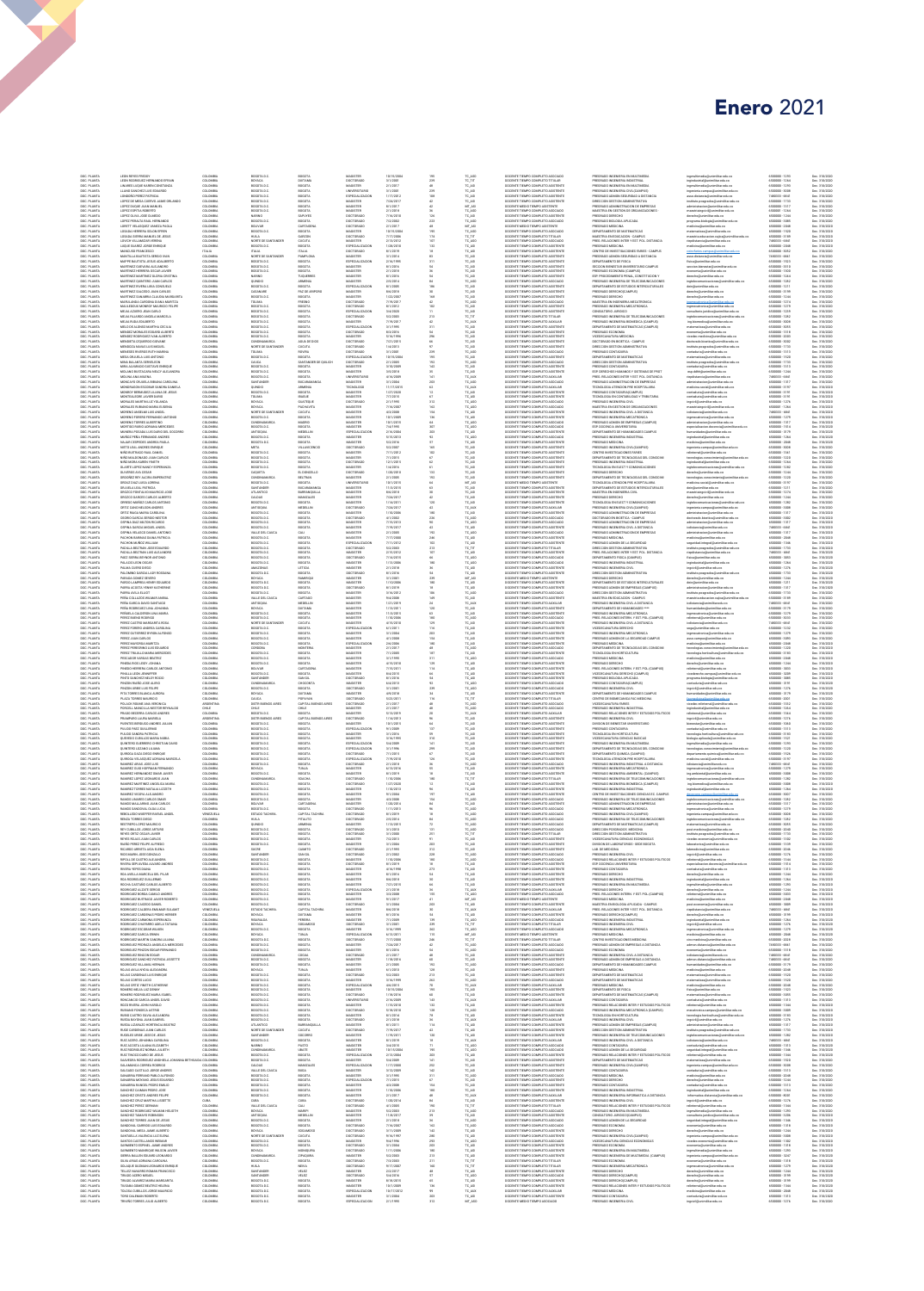## Enero 2021

| DOC. PLANTA                                           | LEON REYES FREDDY                                                                                                                       |
|-------------------------------------------------------|-----------------------------------------------------------------------------------------------------------------------------------------|
| DOC. PLANTA                                           | LEON RODRIGUEZ HER                                                                                                                      |
| DOC. PLANTA<br>DOC. PLANTA                            | LINARIS LUQUE KAREN CONSTANZA<br>LLAND SANCHEZ LUIS EDUARDO                                                                             |
| DOC. PLANTA                                           | OMOORO PEREZ PATRICIA                                                                                                                   |
| IOC. PLANT                                            | OPEZ DE MESA CUERVO JAIME ORLAND                                                                                                        |
| DOC. PLANTA<br>DOC. PLANTA                            | LOPEZ DUQUE JUAN MANUEL<br>LOPEZ ESPITIA ROBERTO                                                                                        |
| DOC. PLANTA                                           | LOPEZ OLIVA JOSE OLMEDO                                                                                                                 |
| DOC. PLANTA<br>IOC. PLANT                             | LOPEZ PERALTA RAUL HERNANDO<br>DRETT VELASQUEZ VANEZA PAOLA                                                                             |
| DOC. PLANTA                                           | LOSADA HERRERA SOLON EFREN                                                                                                              |
| DOC. PLANTA<br>DOC. PLANTA                            | LOSADA SIERRA MANUEL DE JESUS<br>LOVICH VILLAMIZAR VERENA                                                                               |
|                                                       | .<br>Luque Suarez Jorge Enriqu<br>Mancuso Erancesco                                                                                     |
| DOC. PLANTA<br>DOC. PLANTA<br>DOC. PLANTA             | MANTILLA BAUTISTA SERGIO IVAI                                                                                                           |
| DOC. PLANTA                                           | MAPPE BAUTISTA JESUS ADALBERTO                                                                                                          |
| DOC. PLANTA                                           | MARTINEZ GUEVARA ALEJANDRO                                                                                                              |
| DOC. PLANTA<br>DOC. PLANTA                            | MARTINEZ HERRERA OSCAR JAVIER<br>MARTINEZ MARTINEZ GLORIA CRISTINA                                                                      |
| DOC. PLANTA                                           | MARTINEZ QUINTERO JUAN CARLOS                                                                                                           |
| DOC. PLANTA                                           | MARTINEZ RIVERA LIBIA CONSUELO                                                                                                          |
| DOC: PLANTI<br>DOC: PLANTI<br>DOC: PLANTI             | MARTINEZ SALCEDO JUAN CARLOS<br>MARTINEZ SANABRIA CLAUDIA MA                                                                            |
| DOC. PLANT                                            | MARULANDA CARDONA DIANA MARITZA                                                                                                         |
| DOC. PLANTA<br>DOC. PLANTA                            | MAULEDOUX MONROY MAURICIO FELIPE<br>MEJA AZUERO JEAN CARLO                                                                              |
| IOC. PLANT                                            | ALIA FAJARDO ANGELA MARCELA                                                                                                             |
| DOC. PLANT<br>DOC. PLANTA                             | MEJA RUDA EDILBERTO<br>MELO DE ALONSO MARTHA CECILIA                                                                                    |
| DOC. PLANTA<br>DOC. PLANTA                            | MENDEZ MORALES EDGARD ALBERTO                                                                                                           |
|                                                       | MENDEZ RODRIGUEZ IVAN ALBERTO<br>MENDETA IZDUERDO GIO                                                                                   |
| DOC. PLANTA                                           | MENDOZA NAVAS LUIS MIGUEL                                                                                                               |
| DOC. PLANTA                                           | MENESES RIVEROS RUTH MARINA                                                                                                             |
| DOC. PLANTA<br>DOC. PLANTA                            | MESA ORJUELA LUIS ANTONIO                                                                                                               |
| DOC. PLANTA                                           | MINA BALANTA SERVELEON<br>MINA BALANTA SERVELEON<br>MIRA ALVARADO GUSTAVO ENRIQUE                                                       |
| DOC. PLANTA<br>DOC. PLANTA                            | MOLAND BUSTACARA NELCY ALEJANDRA<br>MOLINA ANA MILENA                                                                                   |
| DOC. PLANTA                                           | MONCAYO ORJUELA BIBIANA CAROLINA                                                                                                        |
| IOC. PLANT                                            | MONROY BERMUDEZ LILIANA DE JESUS                                                                                                        |
| DOC. PLANT<br>DOC. PLANTA                             | MONTEALEGRE JAVIER DARIO                                                                                                                |
| DOC. PLANTA                                           | MORALES MARTIN LUZ YOLANDA                                                                                                              |
| IOC. PLANT                                            | ORALES RUBIANO MARIA EUG<br>MORENO ANSELMI LUIS ANGEL                                                                                   |
| DOC. PLANTA<br>DOC. PLANTA                            | MORENO FORERO FERNANDO ANTONIO                                                                                                          |
| DOC PLANTA<br>DOC PLANTA                              | MORENO TORRES ALBERTINO<br>MORTIGO RUBIO ADRANA MERCEDES                                                                                |
| DOC PLANTA                                            | MUNERA POSADA LUIS DARIO DEL SOCORRI                                                                                                    |
|                                                       | MUÑOZ PEÑA FERNANDO ANDRES                                                                                                              |
| DOC PLANTA<br>DOC PLANTA                              | NAJAR CESPEDES ANDREA PAOLA<br>NIETO LEAL ANDRES ENRIQUE                                                                                |
| IOC. PLANT                                            | IÑO BUITRAGO RAUL DANI                                                                                                                  |
| DOC. PLANTA<br>DOC. PLANTA                            | NIÑO MALDONADO JUAN CARLOS<br>VIÑO MORA KAREN YINETH                                                                                    |
| DOC. PLANTA                                           | OLARTE LOPEZ NANCY ESPERANZA                                                                                                            |
| DOC. PLANTA                                           | OLIVEROS AYA CESAR<br>OREZ REY ALCIRA EMPERATR                                                                                          |
| DOC. PLANTA                                           | ORDUZ DIAZ LUISA LORENA                                                                                                                 |
| DOC. PLANTA                                           | ORJUELA LEAL PATRICIA                                                                                                                   |
| DOC. PLANTA                                           | 300200 FONTALVO MAURICIO JOSE                                                                                                           |
| DOC: PLANTI<br>DOC: PLANTI<br>DOC: PLANTI             | RUZIJU FUNTALNO MANALISTICI<br>ROZIJO GARCES CARLOS ALEERTI<br>RREGO MUÑOZ CARLOS ANTONIO                                               |
| DOC. PLANT<br>DOC. PLANTA                             | ORTIZ CANO NELSON ANDRES<br>ORTIZ RIAGA MARIA CAROLINA                                                                                  |
| DOC. PLANTA                                           | OSORIO GARCIA SERGIO NESTO                                                                                                              |
| IOC. PLANT                                            | PINA DIAZ MILTON RICARD                                                                                                                 |
| DOC. PLANT<br>DOC. PLANTA                             | OSPINA GARCIA MIGUEL ANGEL<br>OSPINA VELASCO DANIEL ANTONIO                                                                             |
| DOC. PLANTA                                           | <b>PACHON BARINAS DIANA PATRICIA</b>                                                                                                    |
| DOC PLANT<br>IOC. PLANT                               | ACHON MUÑOZ WILLIAM                                                                                                                     |
| DOC. PLANTA                                           | PADILLA BELTRAN LUIS ALEJANDRO                                                                                                          |
| DOC PLANTA<br>DOC. PLANTA                             | PALZ SIDRA BEYNOR ANTONIO<br>PALACIO LEON OSCAR                                                                                         |
|                                                       |                                                                                                                                         |
| DOC PLANTA                                            | PALOMINO GARCIA LADY ROSSAN                                                                                                             |
| DOC. PLANTA<br>DOC PLANTA                             | PARADA GOMEZ SEVERO<br>PARDO LAMPREA HENRY EDUARDO                                                                                      |
| DOC PLANTA                                            | PARRA ACCISTA YENNY KATHERINE                                                                                                           |
| DOC. PLANTA                                           | ARRA AVEA ELLIOT                                                                                                                        |
| DOC. PLANTA<br>DOC. PLANTA                            | PEÑA COLLAZOS WILMAR ANIDAL<br>PEÑA GARCIA DAVID SANTIAGO                                                                               |
| DOC. PLANTA                                           | PERA RODRIGUEZ LINA SOBANNA                                                                                                             |
| DOC. PLANTA                                           | <b>EÑUELA CALDERON LINA MARI</b><br>PEREZ BUENO RODRIGO                                                                                 |
| DOC. PLANTA                                           | PEREZ CASTRO MARGARITA ROSA                                                                                                             |
| DOC. PLANTA<br>DOC. PLANTA                            | PEREZ FORERO ANDREA CAROLINA<br>PEREZ GUTIERREZ EYRON ALFONSO                                                                           |
| IOC. PLANT                                            |                                                                                                                                         |
| DOC. PLANTA                                           | PEREZ MAYORGA MARITZA                                                                                                                   |
| DOC. PLANTA<br>DOC. PLANTA                            | PEREZ PEREGRINO LUIS EDUARDO<br>PEREZ TRUJELO MARIA MERCEDES                                                                            |
| IOC. PLANT                                            |                                                                                                                                         |
| DOC. PLANTA<br>DOC. PLANTA                            | PINEDA RIOS LEIDY JOHANA<br>PINEDO HERRERA CARLOS ANTONIO                                                                               |
| DOC PLANTA                                            | PINELA LEON JENNIFER                                                                                                                    |
| DOC PLANTA<br>DOC PLANTA                              | PINTO SANCHEZ NELSY ROCIO<br>INZON RIAÑO JOSE ALIRI                                                                                     |
| DOC PLANTA                                            | PINZON URSEE LUIS FELIPE                                                                                                                |
| DOC PLANTA<br>DOC. PLANTA                             | PITA TORRES BLANCA AURORA<br>PLAZA TORRES MAURICIO                                                                                      |
| DOC PLANTI<br>DOC PLANTI<br>DOC PLANTI                | POLACK ROUME ANA VERDNICA<br>PORCELL MANCILLA NESTOR RE                                                                                 |
|                                                       |                                                                                                                                         |
| DOC. PLANT<br>DOC. PLANTA                             | PRADO BECERRA CARLOS ANDRES<br>PRAMPARO LAURA MARIELA                                                                                   |
| DOC. PLANTA                                           | FUENTES BEREUGO ANDRES JULIAN                                                                                                           |
| IOC. PLANT<br>DOC. PLANTA                             | ULIDO PAEZ GUILLERMO<br><b>FULIDO SANDRA PATRICIA</b>                                                                                   |
| DOC. PLANTA                                           | QUEVEDO CUBILLOS MARIA NUBIA                                                                                                            |
| DOC. PLANTA<br>DOC. PLANTA                            | QUINTERO GUERRERO CHRISTIAN DAVID<br>QUINTERO LOZANO LILIANA                                                                            |
|                                                       | IROGA DAZA DIEGO ENRIOL                                                                                                                 |
| DOC. PLANTA                                           | QUROGA VELASQUEZ ADRIANA MARCEL                                                                                                         |
| DOC. PLANTA<br>DOC. PLANTA                            | 21UJ 32OL 2ARAS JOSE LUIS<br>RAMIREZ GUIO HOFFMAN FERNANDO                                                                              |
| DOC. PLANTA                                           | AMREZ HERNANDEZ CMAR JAWEI                                                                                                              |
| DOC. PLANTA                                           | RAMIREZ LOPEZ LEONARDO JUAN                                                                                                             |
| DOC. PLANTA<br>DOC. PLANTA                            | RAMIREZ MARTINEZ ANGELICA MARS<br>RAMIREZ TORRES NATALIA LIZZETH                                                                        |
| DOC. PLANTA                                           | RAMIREZ VIGOYA ALEJANDRO                                                                                                                |
| IOC. PLANT<br>DOC. PLANT                              | RAMOS MALLARINO JUAN CARLOS                                                                                                             |
| DOC. PLANTA                                           |                                                                                                                                         |
| DOC. PLANTA                                           | RAMOS SANDOVAL OLGA LUCIA                                                                                                               |
| DOC. PLANTA                                           | REBOLLEDO WUEFFER RAFAEL ANGEL                                                                                                          |
| DOC. PLANTA                                           |                                                                                                                                         |
| DOC. PLANTA<br>DOC. PLANTA                            | RESTREPO LOPEZ MAURICIO<br>REY CUBILLOS JORGE ARTURO                                                                                    |
| DOC. PLANTA                                           | REYES ORTIZ OSCAR JAVIER<br>PEYES ON IAS INAN CARLOS                                                                                    |
| DOC. PLANTA                                           | RIAÑO PEREZ FELIPE ALFRED                                                                                                               |
|                                                       | RICARDO ARREITA AIDA ELEN                                                                                                               |
| DOC. PLANTA<br>DOC. PLANTA                            | RIOS MARIN JOSE GONZALO<br><b>PECIFIC CASTRO ALE MADEM</b>                                                                              |
| DOC. PLANTA                                           | IVERA SEPULVEDA ALVARO ANDRES                                                                                                           |
| DOC. PLANTA                                           |                                                                                                                                         |
| DOC. PLANTA<br>DOC. PLANTA                            | RIVERA YEPES DIANA<br>ROA AVELLA MARCELA DEL PILAR<br>ROA RODRIGUEZ GUILLERMO                                                           |
| DOC. PLANTA                                           | ROCHA CASTAÑO CARLOS ALBERTO                                                                                                            |
| IOC. PLANT<br>DOC. PLANTA                             | MIGUEZ ALZATE SEP<br>RODRIGUEZ BORDA CAMILO ANDRES                                                                                      |
| DOC. PLANTA<br>DOC PLANTA                             | RODRIGUEZ BUITRAGO JAVIER ROBERTO<br>RODRIGUEZ CAJCEDO DANIEL                                                                           |
|                                                       |                                                                                                                                         |
|                                                       |                                                                                                                                         |
| DOC PLANTA<br>DOC PLANTA<br>DOC PLANTA<br>DOC. PLANTA | RODRIGUEZ CALDERA EMLIMAR SULAMIT<br>RODRIGUEZ CARDENAS PEDRO HERBER<br>RODRIGUEZ CARMONA ESPERANZA<br>RODRIGUEZ CHAPARRO ADELA TATIANA |
| DOC PLANTA                                            | RODRIGUEZ ESCOBAR WILKEN                                                                                                                |
| DOC PLANTA                                            | <b>PORTER CAROLA FRAME</b>                                                                                                              |
| DOC. PLANTA<br>DOC. PLANTA                            | RODRGUEZ MARTIN SANDRA LILIANA<br>RODRIGUEZ PEDRAZA ANGELICA MERCEDES                                                                   |
| DOC. PLANTA                                           | RODRIGUEZ PINZON EDGAR FERNANDO                                                                                                         |
|                                                       |                                                                                                                                         |
| DOC. PLANTA<br>DOC. PLANTA<br>DOC. PLANTA             | ORGUEZ RINCON EDGAR<br>ORGUEZ RINCON EDGAR<br>ORGUEZ SANCHEZ PATRICIA JISSETTE<br>RODRIGUEZ VILLAMIL HERNAN                             |
| DOC. PLANTA<br>DOC. PLANTA                            | ROJAS AVILA NYDIA ALEXANDRA<br>ROJAS CARDENAS LUIS ENRIQUE                                                                              |
| IOC. PLANT                                            | OJAS CORTES LUCIO                                                                                                                       |
| DOC. PLANTA                                           | ROJAS ORTIZ YINETH CATHERINI                                                                                                            |
| DOC. PLANTA<br>DOC. PLANTA                            | ROMERO MEJIA LLIZ DENNY<br>ROMERO RODRIGUEZ MARIA ISABEL                                                                                |
| DOC. PLANTA                                           | PONTANTIO GARCIA ANGEL DAVID                                                                                                            |
| DOC. PLANTA                                           | <b>QJORAH WHOL, ARTIVE OZOR</b>                                                                                                         |
| DOC. PLANTA<br>DOC. PLANTA                            | RUBIANO FONSECA ASTRID<br>RUBIO CASTRO SILVIA ALEJANDRA                                                                                 |
| DOC. PLANTA                                           | RUEDA BAYONA JUAN GABRIEL                                                                                                               |
| IOC. PLANTA<br>DOC. PLANTA                            | RUEDA LIZARAZO HORTENCIA BEATRO<br>RUGE CARDENAS JUAN CARLOS                                                                            |
| DOC PLANTA                                            | RUGELES URBE JOSE DE JESUS                                                                                                              |
| DOC PLANTA<br>DOC PLANTA                              | RUIZ ACERO JOHANNA CAROLINA<br>RUIZ ACOSTA LILIANA ELIZABETI                                                                            |
| IOC. PLANTA                                           | ULZ RODRIGUEZ NORMA JULIETI                                                                                                             |
| DOC. PLANTA                                           | RUIZ TINOCO DARIO DE JESUS                                                                                                              |
| DOC. PLANTA<br>DOC. PLANTA                            | SAAVEDRA RODRIGUEZ ANGHELA JOHANNA BETHSAIDA COLOMBIA<br>SALAMANCA CORREA RODRIGO                                                       |
| IOC. PLANTA                                           | SALGADO CASTILLO JORGE ANDRES                                                                                                           |
|                                                       |                                                                                                                                         |
| DOC. PLANTA<br>DOC. PLANTA<br>DOC. PLANTA             | Sanadria Ferrand Pablo alfonso<br>Sanadria Moyano Jesus Eduardo<br>SANADRIA RANGEL PEDRO EMEJO                                          |
| DOC. PLANTA                                           | SANCHIEZ CAIMAN PEDRO JOSE                                                                                                              |
| DOC. PLANTA<br>DOC. PLANTA                            | TANCHEZ CRISTO ANDRES FELIPE<br>SANCHIEZ CRUZ MARTHA LISSETTE                                                                           |
| DOC. PLANTA                                           | SANCHIEZ PEREZ GERMAN                                                                                                                   |
| DOC. PLANTA                                           | SANCHEZ RODRIGUEZ WILMAN HELIOTH                                                                                                        |
| DOC. PLANTA<br>DOC. PLANTA<br>DOC. PLANTA             | ANCHEZ TAMAYO ROBINSON<br>ANCHEZ TORRES JUAN DE JESUS                                                                                   |
| DOC. PLANTA                                           | SANDOVAL GARRIDO LUIS EDUARDO                                                                                                           |
| DOC. PLANTA<br>DOC PLANTA                             | SANDOVAL MESA JAIME ALBERTO<br>SANTABLLA VALENCIA LUZ BLENA                                                                             |
| IOC. PLANTA                                           | WTOS CASTELLANCS WERAN                                                                                                                  |
| DOC. PLANTA<br>DOC PLANTA                             | SARMENTO ESPINEL JAIME ANDRES<br>SARMENTO MANRIQUE WILSON JAVIER                                                                        |
|                                                       | SIERRA BALLEN EDUARD LEONARDO                                                                                                           |
| DOC PLANTA<br>DOC PLANTA                              | SILVA ARIAS ADRIANA CAROLINA                                                                                                            |
| DOC PLANTA                                            | SOLAQUE GUZMAN LEONARDO ENRIQU<br>TELLEZ NAVARRO ROMAN FRANCISCO                                                                        |
| DOC. PLANTA                                           | TIRADO ACERO MISAEL                                                                                                                     |
| DOC PLANTA<br>DOC PLANTA                              | TIRADO ALVAREZ MARIA MARGARITA<br>LISABA GOMEZ BEATRIZ HELENA                                                                           |
| DOC. PLANTA<br>DOC. PLANTA                            | TOLOSA CUBILLOS JORGE MAURICIO<br>OTRIBOR MAILBAN CROSS                                                                                 |

 $\blacksquare$